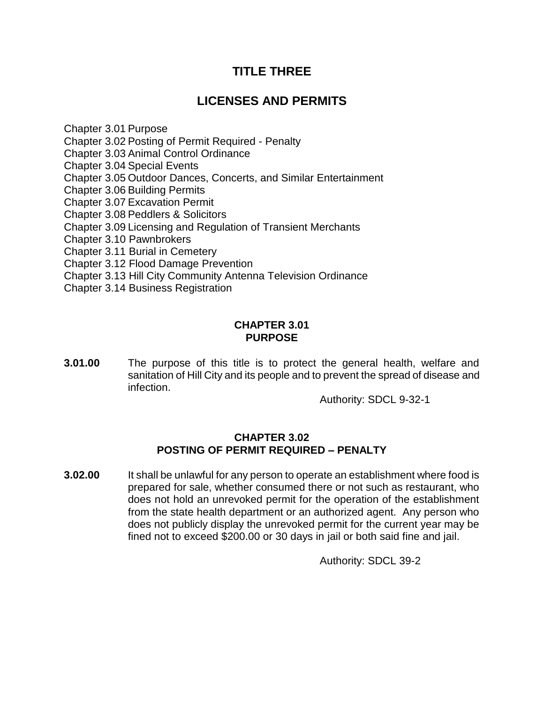# **TITLE THREE**

# **LICENSES AND PERMITS**

Chapter 3.01 Purpose Chapter 3.02 Posting of Permit Required - Penalty Chapter 3.03 Animal Control Ordinance Chapter 3.04 Special Events Chapter 3.05 Outdoor Dances, Concerts, and Similar Entertainment Chapter 3.06 Building Permits Chapter 3.07 Excavation Permit Chapter 3.08 Peddlers & Solicitors Chapter 3.09 Licensing and Regulation of Transient Merchants Chapter 3.10 Pawnbrokers Chapter 3.11 Burial in Cemetery Chapter 3.12 Flood Damage Prevention Chapter 3.13 Hill City Community Antenna Television Ordinance Chapter 3.14 Business Registration

#### **CHAPTER 3.01 PURPOSE**

**3.01.00** The purpose of this title is to protect the general health, welfare and sanitation of Hill City and its people and to prevent the spread of disease and infection.

Authority: SDCL 9-32-1

#### **CHAPTER 3.02 POSTING OF PERMIT REQUIRED – PENALTY**

**3.02.00** It shall be unlawful for any person to operate an establishment where food is prepared for sale, whether consumed there or not such as restaurant, who does not hold an unrevoked permit for the operation of the establishment from the state health department or an authorized agent. Any person who does not publicly display the unrevoked permit for the current year may be fined not to exceed \$200.00 or 30 days in jail or both said fine and jail.

Authority: SDCL 39-2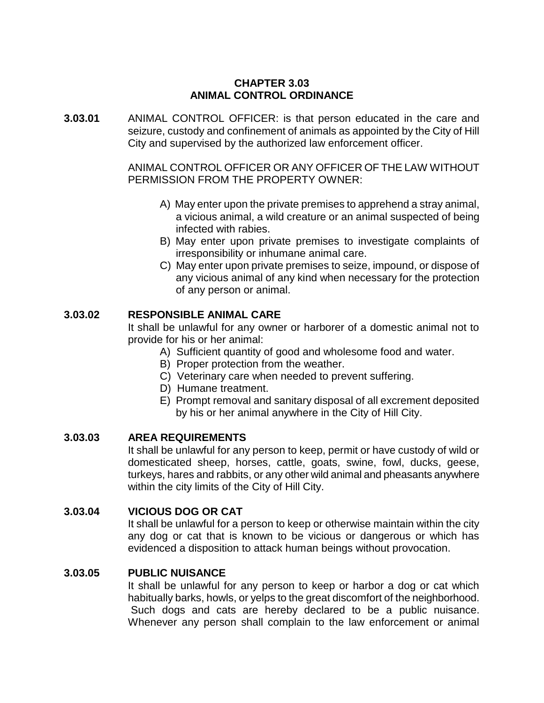#### **CHAPTER 3.03 ANIMAL CONTROL ORDINANCE**

**3.03.01** ANIMAL CONTROL OFFICER: is that person educated in the care and seizure, custody and confinement of animals as appointed by the City of Hill City and supervised by the authorized law enforcement officer.

> ANIMAL CONTROL OFFICER OR ANY OFFICER OF THE LAW WITHOUT PERMISSION FROM THE PROPERTY OWNER:

- A) May enter upon the private premises to apprehend a stray animal, a vicious animal, a wild creature or an animal suspected of being infected with rabies.
- B) May enter upon private premises to investigate complaints of irresponsibility or inhumane animal care.
- C) May enter upon private premises to seize, impound, or dispose of any vicious animal of any kind when necessary for the protection of any person or animal.

#### **3.03.02 RESPONSIBLE ANIMAL CARE**

It shall be unlawful for any owner or harborer of a domestic animal not to provide for his or her animal:

- A) Sufficient quantity of good and wholesome food and water.
- B) Proper protection from the weather.
- C) Veterinary care when needed to prevent suffering.
- D) Humane treatment.
- E) Prompt removal and sanitary disposal of all excrement deposited by his or her animal anywhere in the City of Hill City.

#### **3.03.03 AREA REQUIREMENTS**

It shall be unlawful for any person to keep, permit or have custody of wild or domesticated sheep, horses, cattle, goats, swine, fowl, ducks, geese, turkeys, hares and rabbits, or any other wild animal and pheasants anywhere within the city limits of the City of Hill City.

#### **3.03.04 VICIOUS DOG OR CAT**

It shall be unlawful for a person to keep or otherwise maintain within the city any dog or cat that is known to be vicious or dangerous or which has evidenced a disposition to attack human beings without provocation.

#### **3.03.05 PUBLIC NUISANCE**

It shall be unlawful for any person to keep or harbor a dog or cat which habitually barks, howls, or yelps to the great discomfort of the neighborhood. Such dogs and cats are hereby declared to be a public nuisance. Whenever any person shall complain to the law enforcement or animal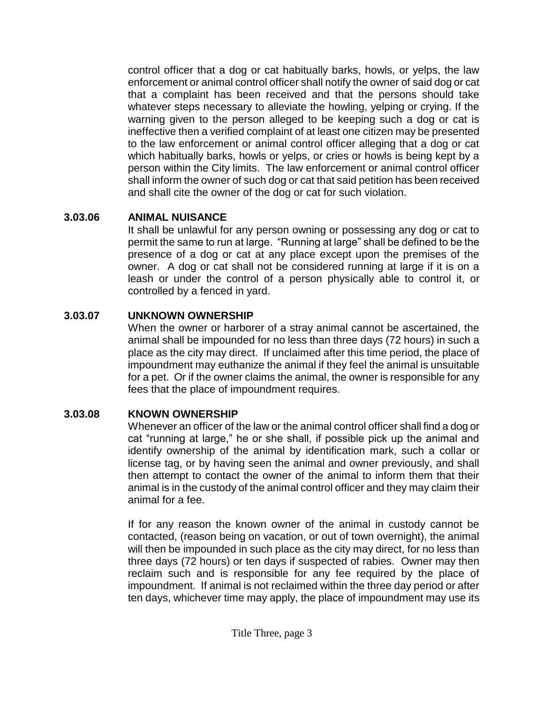control officer that a dog or cat habitually barks, howls, or yelps, the law enforcement or animal control officer shall notify the owner of said dog or cat that a complaint has been received and that the persons should take whatever steps necessary to alleviate the howling, yelping or crying. If the warning given to the person alleged to be keeping such a dog or cat is ineffective then a verified complaint of at least one citizen may be presented to the law enforcement or animal control officer alleging that a dog or cat which habitually barks, howls or yelps, or cries or howls is being kept by a person within the City limits. The law enforcement or animal control officer shall inform the owner of such dog or cat that said petition has been received and shall cite the owner of the dog or cat for such violation.

### **3.03.06 ANIMAL NUISANCE**

It shall be unlawful for any person owning or possessing any dog or cat to permit the same to run at large. "Running at large" shall be defined to be the presence of a dog or cat at any place except upon the premises of the owner. A dog or cat shall not be considered running at large if it is on a leash or under the control of a person physically able to control it, or controlled by a fenced in yard.

### **3.03.07 UNKNOWN OWNERSHIP**

When the owner or harborer of a stray animal cannot be ascertained, the animal shall be impounded for no less than three days (72 hours) in such a place as the city may direct. If unclaimed after this time period, the place of impoundment may euthanize the animal if they feel the animal is unsuitable for a pet. Or if the owner claims the animal, the owner is responsible for any fees that the place of impoundment requires.

## **3.03.08 KNOWN OWNERSHIP**

Whenever an officer of the law or the animal control officer shall find a dog or cat "running at large," he or she shall, if possible pick up the animal and identify ownership of the animal by identification mark, such a collar or license tag, or by having seen the animal and owner previously, and shall then attempt to contact the owner of the animal to inform them that their animal is in the custody of the animal control officer and they may claim their animal for a fee.

If for any reason the known owner of the animal in custody cannot be contacted, (reason being on vacation, or out of town overnight), the animal will then be impounded in such place as the city may direct, for no less than three days (72 hours) or ten days if suspected of rabies. Owner may then reclaim such and is responsible for any fee required by the place of impoundment. If animal is not reclaimed within the three day period or after ten days, whichever time may apply, the place of impoundment may use its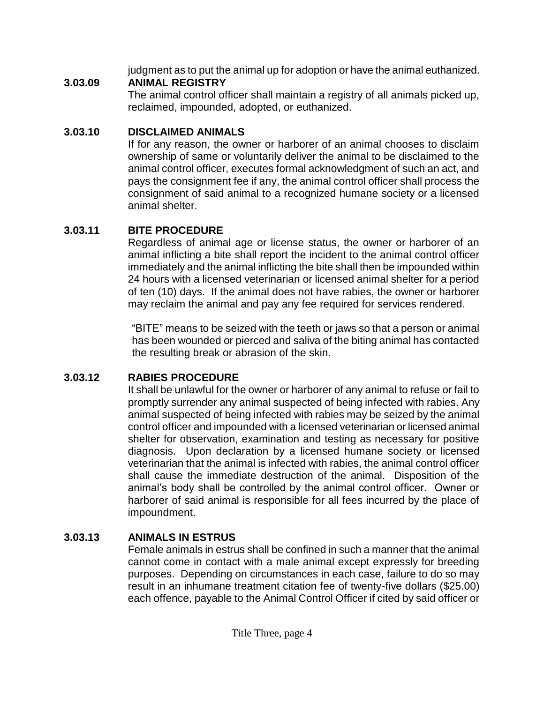judgment as to put the animal up for adoption or have the animal euthanized.

## **3.03.09 ANIMAL REGISTRY**

The animal control officer shall maintain a registry of all animals picked up, reclaimed, impounded, adopted, or euthanized.

# **3.03.10 DISCLAIMED ANIMALS**

If for any reason, the owner or harborer of an animal chooses to disclaim ownership of same or voluntarily deliver the animal to be disclaimed to the animal control officer, executes formal acknowledgment of such an act, and pays the consignment fee if any, the animal control officer shall process the consignment of said animal to a recognized humane society or a licensed animal shelter.

# **3.03.11 BITE PROCEDURE**

Regardless of animal age or license status, the owner or harborer of an animal inflicting a bite shall report the incident to the animal control officer immediately and the animal inflicting the bite shall then be impounded within 24 hours with a licensed veterinarian or licensed animal shelter for a period of ten (10) days. If the animal does not have rabies, the owner or harborer may reclaim the animal and pay any fee required for services rendered.

"BITE" means to be seized with the teeth or jaws so that a person or animal has been wounded or pierced and saliva of the biting animal has contacted the resulting break or abrasion of the skin.

# **3.03.12 RABIES PROCEDURE**

It shall be unlawful for the owner or harborer of any animal to refuse or fail to promptly surrender any animal suspected of being infected with rabies. Any animal suspected of being infected with rabies may be seized by the animal control officer and impounded with a licensed veterinarian or licensed animal shelter for observation, examination and testing as necessary for positive diagnosis. Upon declaration by a licensed humane society or licensed veterinarian that the animal is infected with rabies, the animal control officer shall cause the immediate destruction of the animal. Disposition of the animal's body shall be controlled by the animal control officer. Owner or harborer of said animal is responsible for all fees incurred by the place of impoundment.

# **3.03.13 ANIMALS IN ESTRUS**

Female animals in estrus shall be confined in such a manner that the animal cannot come in contact with a male animal except expressly for breeding purposes. Depending on circumstances in each case, failure to do so may result in an inhumane treatment citation fee of twenty-five dollars (\$25.00) each offence, payable to the Animal Control Officer if cited by said officer or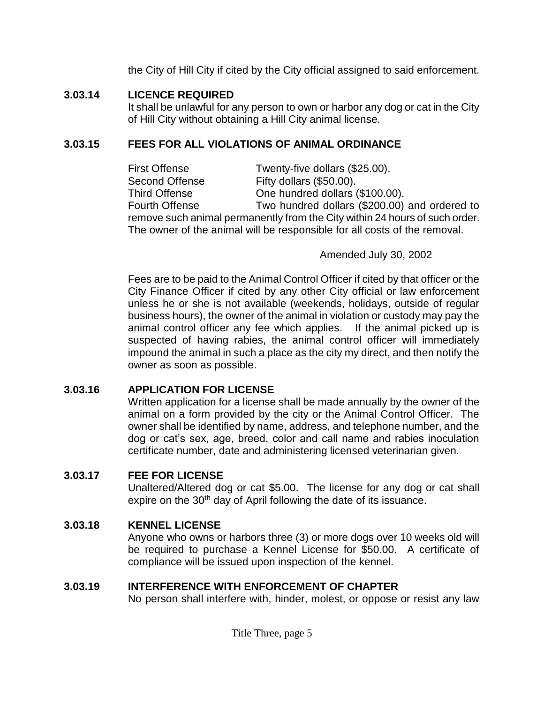the City of Hill City if cited by the City official assigned to said enforcement.

#### **3.03.14 LICENCE REQUIRED**

It shall be unlawful for any person to own or harbor any dog or cat in the City of Hill City without obtaining a Hill City animal license.

### **3.03.15 FEES FOR ALL VIOLATIONS OF ANIMAL ORDINANCE**

First Offense Twenty-five dollars (\$25.00). Second Offense Fifty dollars (\$50.00). Third Offense One hundred dollars (\$100.00). Fourth Offense Two hundred dollars (\$200.00) and ordered to remove such animal permanently from the City within 24 hours of such order. The owner of the animal will be responsible for all costs of the removal.

Amended July 30, 2002

Fees are to be paid to the Animal Control Officer if cited by that officer or the City Finance Officer if cited by any other City official or law enforcement unless he or she is not available (weekends, holidays, outside of regular business hours), the owner of the animal in violation or custody may pay the animal control officer any fee which applies. If the animal picked up is suspected of having rabies, the animal control officer will immediately impound the animal in such a place as the city my direct, and then notify the owner as soon as possible.

#### **3.03.16 APPLICATION FOR LICENSE**

Written application for a license shall be made annually by the owner of the animal on a form provided by the city or the Animal Control Officer. The owner shall be identified by name, address, and telephone number, and the dog or cat's sex, age, breed, color and call name and rabies inoculation certificate number, date and administering licensed veterinarian given.

#### **3.03.17 FEE FOR LICENSE**

Unaltered/Altered dog or cat \$5.00. The license for any dog or cat shall expire on the  $30<sup>th</sup>$  day of April following the date of its issuance.

### **3.03.18 KENNEL LICENSE**

Anyone who owns or harbors three (3) or more dogs over 10 weeks old will be required to purchase a Kennel License for \$50.00. A certificate of compliance will be issued upon inspection of the kennel.

#### **3.03.19 INTERFERENCE WITH ENFORCEMENT OF CHAPTER**

No person shall interfere with, hinder, molest, or oppose or resist any law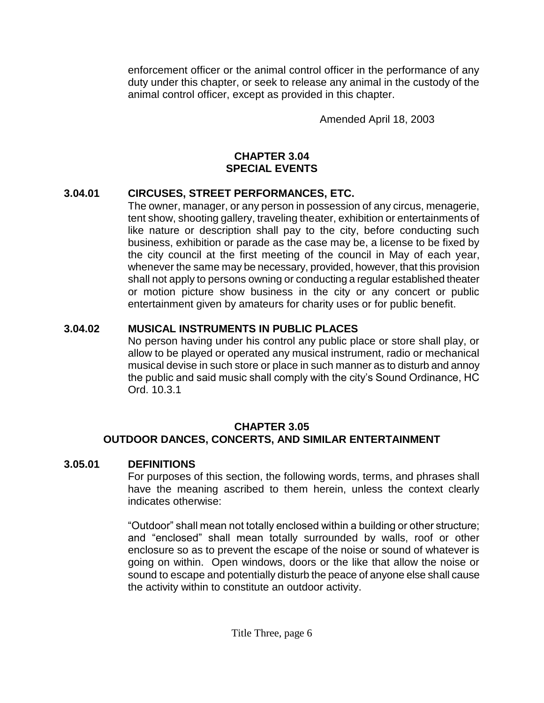enforcement officer or the animal control officer in the performance of any duty under this chapter, or seek to release any animal in the custody of the animal control officer, except as provided in this chapter.

Amended April 18, 2003

### **CHAPTER 3.04 SPECIAL EVENTS**

### **3.04.01 CIRCUSES, STREET PERFORMANCES, ETC.**

The owner, manager, or any person in possession of any circus, menagerie, tent show, shooting gallery, traveling theater, exhibition or entertainments of like nature or description shall pay to the city, before conducting such business, exhibition or parade as the case may be, a license to be fixed by the city council at the first meeting of the council in May of each year, whenever the same may be necessary, provided, however, that this provision shall not apply to persons owning or conducting a regular established theater or motion picture show business in the city or any concert or public entertainment given by amateurs for charity uses or for public benefit.

# **3.04.02 MUSICAL INSTRUMENTS IN PUBLIC PLACES**

No person having under his control any public place or store shall play, or allow to be played or operated any musical instrument, radio or mechanical musical devise in such store or place in such manner as to disturb and annoy the public and said music shall comply with the city's Sound Ordinance, HC Ord. 10.3.1

### **CHAPTER 3.05 OUTDOOR DANCES, CONCERTS, AND SIMILAR ENTERTAINMENT**

## **3.05.01 DEFINITIONS**

For purposes of this section, the following words, terms, and phrases shall have the meaning ascribed to them herein, unless the context clearly indicates otherwise:

"Outdoor" shall mean not totally enclosed within a building or other structure; and "enclosed" shall mean totally surrounded by walls, roof or other enclosure so as to prevent the escape of the noise or sound of whatever is going on within. Open windows, doors or the like that allow the noise or sound to escape and potentially disturb the peace of anyone else shall cause the activity within to constitute an outdoor activity.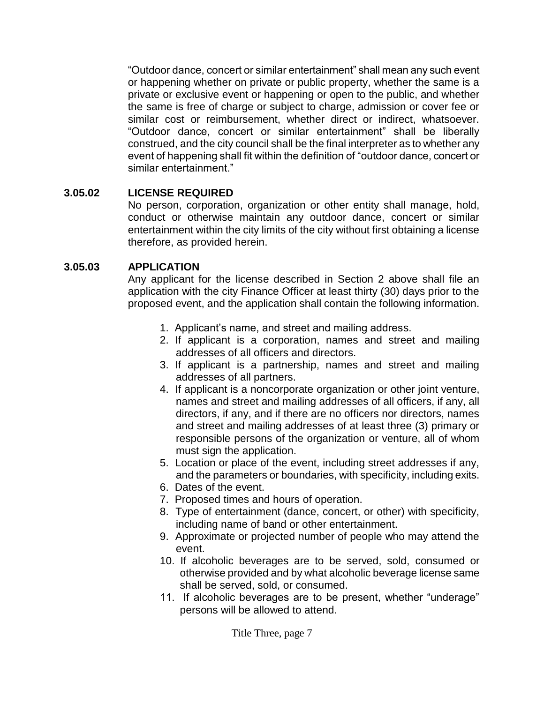"Outdoor dance, concert or similar entertainment" shall mean any such event or happening whether on private or public property, whether the same is a private or exclusive event or happening or open to the public, and whether the same is free of charge or subject to charge, admission or cover fee or similar cost or reimbursement, whether direct or indirect, whatsoever. "Outdoor dance, concert or similar entertainment" shall be liberally construed, and the city council shall be the final interpreter as to whether any event of happening shall fit within the definition of "outdoor dance, concert or similar entertainment."

#### **3.05.02 LICENSE REQUIRED**

No person, corporation, organization or other entity shall manage, hold, conduct or otherwise maintain any outdoor dance, concert or similar entertainment within the city limits of the city without first obtaining a license therefore, as provided herein.

#### **3.05.03 APPLICATION**

Any applicant for the license described in Section 2 above shall file an application with the city Finance Officer at least thirty (30) days prior to the proposed event, and the application shall contain the following information.

- 1. Applicant's name, and street and mailing address.
- 2. If applicant is a corporation, names and street and mailing addresses of all officers and directors.
- 3. If applicant is a partnership, names and street and mailing addresses of all partners.
- 4. If applicant is a noncorporate organization or other joint venture, names and street and mailing addresses of all officers, if any, all directors, if any, and if there are no officers nor directors, names and street and mailing addresses of at least three (3) primary or responsible persons of the organization or venture, all of whom must sign the application.
- 5. Location or place of the event, including street addresses if any, and the parameters or boundaries, with specificity, including exits.
- 6. Dates of the event.
- 7. Proposed times and hours of operation.
- 8. Type of entertainment (dance, concert, or other) with specificity, including name of band or other entertainment.
- 9. Approximate or projected number of people who may attend the event.
- 10. If alcoholic beverages are to be served, sold, consumed or otherwise provided and by what alcoholic beverage license same shall be served, sold, or consumed.
- 11. If alcoholic beverages are to be present, whether "underage" persons will be allowed to attend.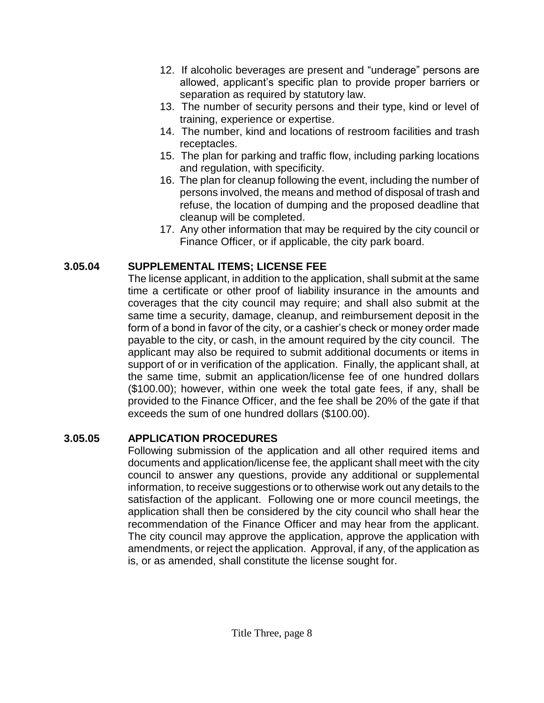- 12. If alcoholic beverages are present and "underage" persons are allowed, applicant's specific plan to provide proper barriers or separation as required by statutory law.
- 13. The number of security persons and their type, kind or level of training, experience or expertise.
- 14. The number, kind and locations of restroom facilities and trash receptacles.
- 15. The plan for parking and traffic flow, including parking locations and regulation, with specificity.
- 16. The plan for cleanup following the event, including the number of persons involved, the means and method of disposal of trash and refuse, the location of dumping and the proposed deadline that cleanup will be completed.
- 17. Any other information that may be required by the city council or Finance Officer, or if applicable, the city park board.

## **3.05.04 SUPPLEMENTAL ITEMS; LICENSE FEE**

The license applicant, in addition to the application, shall submit at the same time a certificate or other proof of liability insurance in the amounts and coverages that the city council may require; and shall also submit at the same time a security, damage, cleanup, and reimbursement deposit in the form of a bond in favor of the city, or a cashier's check or money order made payable to the city, or cash, in the amount required by the city council. The applicant may also be required to submit additional documents or items in support of or in verification of the application. Finally, the applicant shall, at the same time, submit an application/license fee of one hundred dollars (\$100.00); however, within one week the total gate fees, if any, shall be provided to the Finance Officer, and the fee shall be 20% of the gate if that exceeds the sum of one hundred dollars (\$100.00).

## **3.05.05 APPLICATION PROCEDURES**

Following submission of the application and all other required items and documents and application/license fee, the applicant shall meet with the city council to answer any questions, provide any additional or supplemental information, to receive suggestions or to otherwise work out any details to the satisfaction of the applicant. Following one or more council meetings, the application shall then be considered by the city council who shall hear the recommendation of the Finance Officer and may hear from the applicant. The city council may approve the application, approve the application with amendments, or reject the application. Approval, if any, of the application as is, or as amended, shall constitute the license sought for.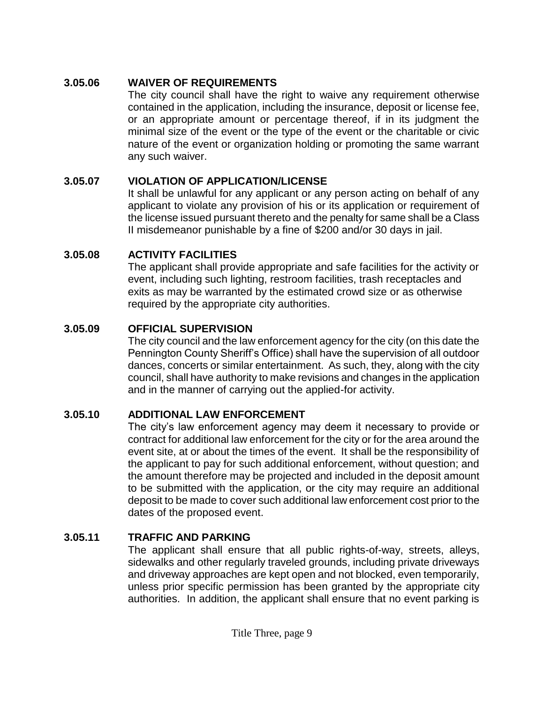### **3.05.06 WAIVER OF REQUIREMENTS**

The city council shall have the right to waive any requirement otherwise contained in the application, including the insurance, deposit or license fee, or an appropriate amount or percentage thereof, if in its judgment the minimal size of the event or the type of the event or the charitable or civic nature of the event or organization holding or promoting the same warrant any such waiver.

## **3.05.07 VIOLATION OF APPLICATION/LICENSE**

It shall be unlawful for any applicant or any person acting on behalf of any applicant to violate any provision of his or its application or requirement of the license issued pursuant thereto and the penalty for same shall be a Class II misdemeanor punishable by a fine of \$200 and/or 30 days in jail.

### **3.05.08 ACTIVITY FACILITIES**

The applicant shall provide appropriate and safe facilities for the activity or event, including such lighting, restroom facilities, trash receptacles and exits as may be warranted by the estimated crowd size or as otherwise required by the appropriate city authorities.

### **3.05.09 OFFICIAL SUPERVISION**

The city council and the law enforcement agency for the city (on this date the Pennington County Sheriff's Office) shall have the supervision of all outdoor dances, concerts or similar entertainment. As such, they, along with the city council, shall have authority to make revisions and changes in the application and in the manner of carrying out the applied-for activity.

## **3.05.10 ADDITIONAL LAW ENFORCEMENT**

The city's law enforcement agency may deem it necessary to provide or contract for additional law enforcement for the city or for the area around the event site, at or about the times of the event. It shall be the responsibility of the applicant to pay for such additional enforcement, without question; and the amount therefore may be projected and included in the deposit amount to be submitted with the application, or the city may require an additional deposit to be made to cover such additional law enforcement cost prior to the dates of the proposed event.

## **3.05.11 TRAFFIC AND PARKING**

The applicant shall ensure that all public rights-of-way, streets, alleys, sidewalks and other regularly traveled grounds, including private driveways and driveway approaches are kept open and not blocked, even temporarily, unless prior specific permission has been granted by the appropriate city authorities. In addition, the applicant shall ensure that no event parking is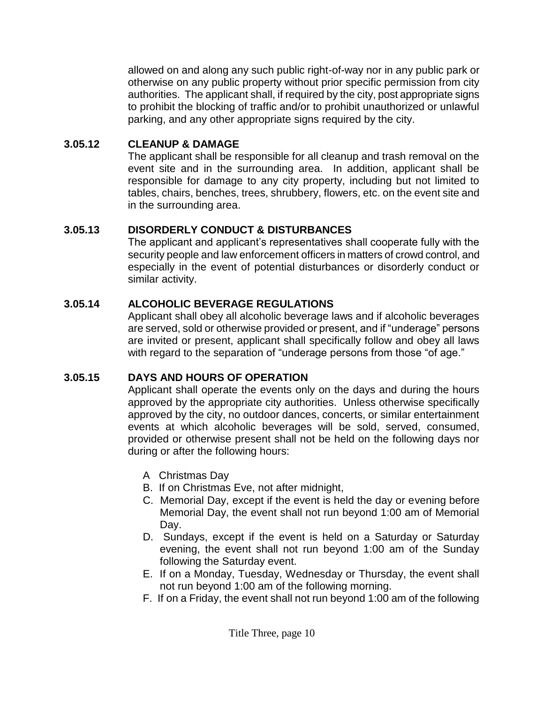allowed on and along any such public right-of-way nor in any public park or otherwise on any public property without prior specific permission from city authorities. The applicant shall, if required by the city, post appropriate signs to prohibit the blocking of traffic and/or to prohibit unauthorized or unlawful parking, and any other appropriate signs required by the city.

### **3.05.12 CLEANUP & DAMAGE**

The applicant shall be responsible for all cleanup and trash removal on the event site and in the surrounding area. In addition, applicant shall be responsible for damage to any city property, including but not limited to tables, chairs, benches, trees, shrubbery, flowers, etc. on the event site and in the surrounding area.

## **3.05.13 DISORDERLY CONDUCT & DISTURBANCES**

The applicant and applicant's representatives shall cooperate fully with the security people and law enforcement officers in matters of crowd control, and especially in the event of potential disturbances or disorderly conduct or similar activity.

# **3.05.14 ALCOHOLIC BEVERAGE REGULATIONS**

Applicant shall obey all alcoholic beverage laws and if alcoholic beverages are served, sold or otherwise provided or present, and if "underage" persons are invited or present, applicant shall specifically follow and obey all laws with regard to the separation of "underage persons from those "of age."

## **3.05.15 DAYS AND HOURS OF OPERATION**

Applicant shall operate the events only on the days and during the hours approved by the appropriate city authorities. Unless otherwise specifically approved by the city, no outdoor dances, concerts, or similar entertainment events at which alcoholic beverages will be sold, served, consumed, provided or otherwise present shall not be held on the following days nor during or after the following hours:

- A Christmas Day
- B. If on Christmas Eve, not after midnight,
- C. Memorial Day, except if the event is held the day or evening before Memorial Day, the event shall not run beyond 1:00 am of Memorial Day.
- D. Sundays, except if the event is held on a Saturday or Saturday evening, the event shall not run beyond 1:00 am of the Sunday following the Saturday event.
- E. If on a Monday, Tuesday, Wednesday or Thursday, the event shall not run beyond 1:00 am of the following morning.
- F. If on a Friday, the event shall not run beyond 1:00 am of the following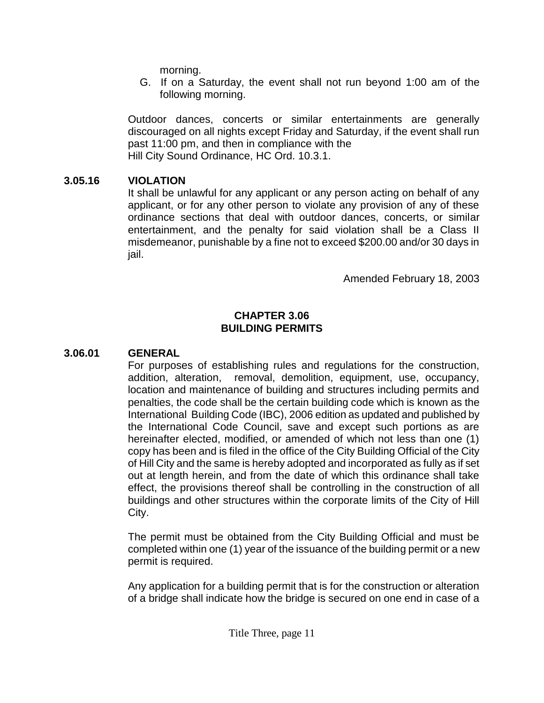morning.

 G. If on a Saturday, the event shall not run beyond 1:00 am of the following morning.

Outdoor dances, concerts or similar entertainments are generally discouraged on all nights except Friday and Saturday, if the event shall run past 11:00 pm, and then in compliance with the Hill City Sound Ordinance, HC Ord. 10.3.1.

#### **3.05.16 VIOLATION**

It shall be unlawful for any applicant or any person acting on behalf of any applicant, or for any other person to violate any provision of any of these ordinance sections that deal with outdoor dances, concerts, or similar entertainment, and the penalty for said violation shall be a Class II misdemeanor, punishable by a fine not to exceed \$200.00 and/or 30 days in jail.

Amended February 18, 2003

#### **CHAPTER 3.06 BUILDING PERMITS**

#### **3.06.01 GENERAL**

For purposes of establishing rules and regulations for the construction, addition, alteration, removal, demolition, equipment, use, occupancy, location and maintenance of building and structures including permits and penalties, the code shall be the certain building code which is known as the International Building Code (IBC), 2006 edition as updated and published by the International Code Council, save and except such portions as are hereinafter elected, modified, or amended of which not less than one (1) copy has been and is filed in the office of the City Building Official of the City of Hill City and the same is hereby adopted and incorporated as fully as if set out at length herein, and from the date of which this ordinance shall take effect, the provisions thereof shall be controlling in the construction of all buildings and other structures within the corporate limits of the City of Hill City.

The permit must be obtained from the City Building Official and must be completed within one (1) year of the issuance of the building permit or a new permit is required.

Any application for a building permit that is for the construction or alteration of a bridge shall indicate how the bridge is secured on one end in case of a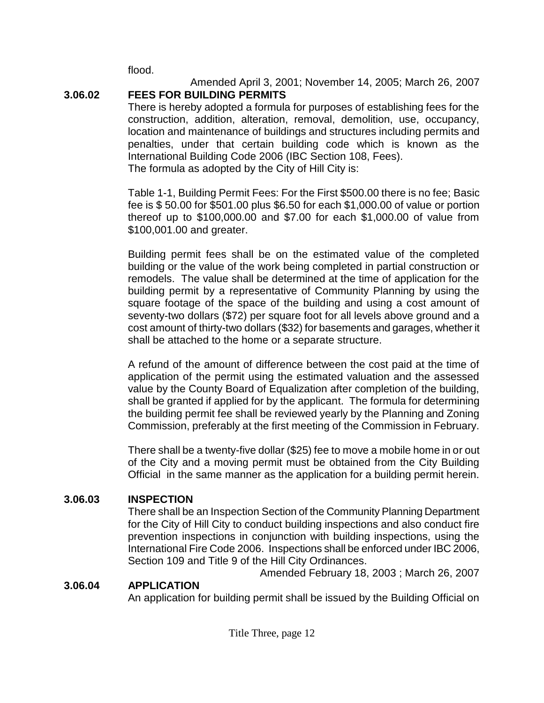flood.

#### **3.06.02 FEES FOR BUILDING PERMITS**

There is hereby adopted a formula for purposes of establishing fees for the construction, addition, alteration, removal, demolition, use, occupancy, location and maintenance of buildings and structures including permits and penalties, under that certain building code which is known as the International Building Code 2006 (IBC Section 108, Fees). The formula as adopted by the City of Hill City is:

Table 1-1, Building Permit Fees: For the First \$500.00 there is no fee; Basic fee is \$ 50.00 for \$501.00 plus \$6.50 for each \$1,000.00 of value or portion thereof up to \$100,000.00 and \$7.00 for each \$1,000.00 of value from \$100,001.00 and greater.

Building permit fees shall be on the estimated value of the completed building or the value of the work being completed in partial construction or remodels. The value shall be determined at the time of application for the building permit by a representative of Community Planning by using the square footage of the space of the building and using a cost amount of seventy-two dollars (\$72) per square foot for all levels above ground and a cost amount of thirty-two dollars (\$32) for basements and garages, whether it shall be attached to the home or a separate structure.

A refund of the amount of difference between the cost paid at the time of application of the permit using the estimated valuation and the assessed value by the County Board of Equalization after completion of the building, shall be granted if applied for by the applicant. The formula for determining the building permit fee shall be reviewed yearly by the Planning and Zoning Commission, preferably at the first meeting of the Commission in February.

There shall be a twenty-five dollar (\$25) fee to move a mobile home in or out of the City and a moving permit must be obtained from the City Building Official in the same manner as the application for a building permit herein.

### **3.06.03 INSPECTION**

There shall be an Inspection Section of the Community Planning Department for the City of Hill City to conduct building inspections and also conduct fire prevention inspections in conjunction with building inspections, using the International Fire Code 2006. Inspections shall be enforced under IBC 2006, Section 109 and Title 9 of the Hill City Ordinances.

Amended February 18, 2003 ; March 26, 2007

#### **3.06.04 APPLICATION**

An application for building permit shall be issued by the Building Official on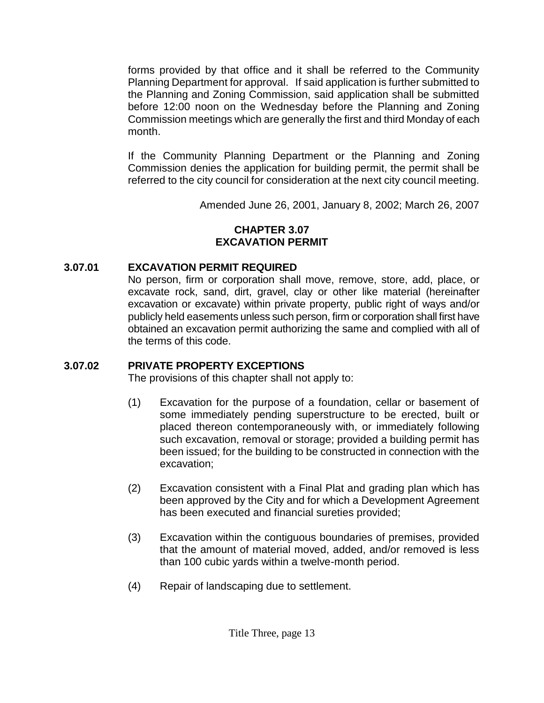forms provided by that office and it shall be referred to the Community Planning Department for approval. If said application is further submitted to the Planning and Zoning Commission, said application shall be submitted before 12:00 noon on the Wednesday before the Planning and Zoning Commission meetings which are generally the first and third Monday of each month.

If the Community Planning Department or the Planning and Zoning Commission denies the application for building permit, the permit shall be referred to the city council for consideration at the next city council meeting.

Amended June 26, 2001, January 8, 2002; March 26, 2007

### **CHAPTER 3.07 EXCAVATION PERMIT**

## **3.07.01 EXCAVATION PERMIT REQUIRED**

No person, firm or corporation shall move, remove, store, add, place, or excavate rock, sand, dirt, gravel, clay or other like material (hereinafter excavation or excavate) within private property, public right of ways and/or publicly held easements unless such person, firm or corporation shall first have obtained an excavation permit authorizing the same and complied with all of the terms of this code.

## **3.07.02 PRIVATE PROPERTY EXCEPTIONS**

The provisions of this chapter shall not apply to:

- (1) Excavation for the purpose of a foundation, cellar or basement of some immediately pending superstructure to be erected, built or placed thereon contemporaneously with, or immediately following such excavation, removal or storage; provided a building permit has been issued; for the building to be constructed in connection with the excavation;
- (2) Excavation consistent with a Final Plat and grading plan which has been approved by the City and for which a Development Agreement has been executed and financial sureties provided;
- (3) Excavation within the contiguous boundaries of premises, provided that the amount of material moved, added, and/or removed is less than 100 cubic yards within a twelve-month period.
- (4) Repair of landscaping due to settlement.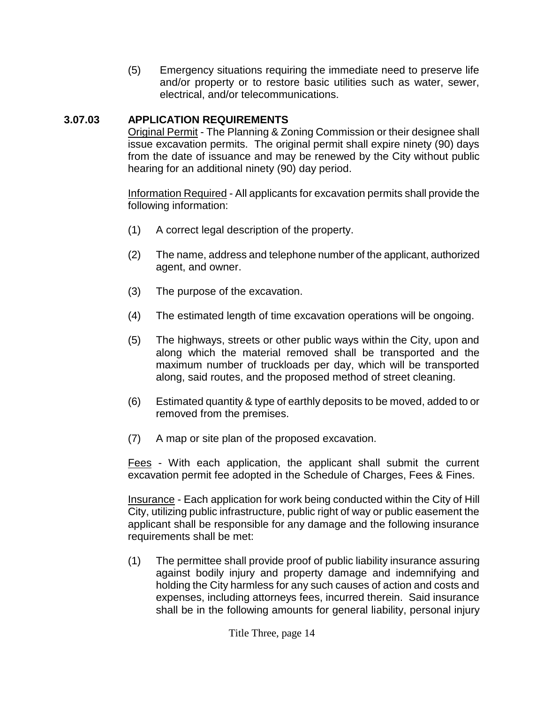(5) Emergency situations requiring the immediate need to preserve life and/or property or to restore basic utilities such as water, sewer, electrical, and/or telecommunications.

### **3.07.03 APPLICATION REQUIREMENTS**

Original Permit - The Planning & Zoning Commission or their designee shall issue excavation permits. The original permit shall expire ninety (90) days from the date of issuance and may be renewed by the City without public hearing for an additional ninety (90) day period.

Information Required - All applicants for excavation permits shall provide the following information:

- (1) A correct legal description of the property.
- (2) The name, address and telephone number of the applicant, authorized agent, and owner.
- (3) The purpose of the excavation.
- (4) The estimated length of time excavation operations will be ongoing.
- (5) The highways, streets or other public ways within the City, upon and along which the material removed shall be transported and the maximum number of truckloads per day, which will be transported along, said routes, and the proposed method of street cleaning.
- (6) Estimated quantity & type of earthly deposits to be moved, added to or removed from the premises.
- (7) A map or site plan of the proposed excavation.

Fees - With each application, the applicant shall submit the current excavation permit fee adopted in the Schedule of Charges, Fees & Fines.

Insurance - Each application for work being conducted within the City of Hill City, utilizing public infrastructure, public right of way or public easement the applicant shall be responsible for any damage and the following insurance requirements shall be met:

(1) The permittee shall provide proof of public liability insurance assuring against bodily injury and property damage and indemnifying and holding the City harmless for any such causes of action and costs and expenses, including attorneys fees, incurred therein. Said insurance shall be in the following amounts for general liability, personal injury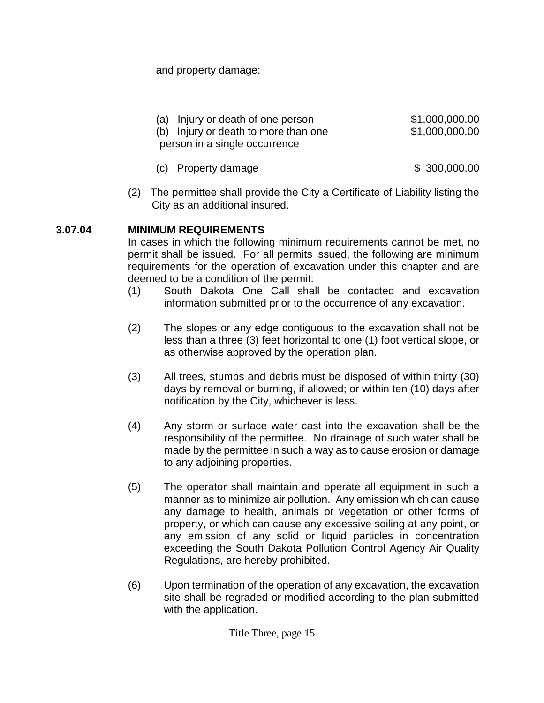and property damage:

| (a) Injury or death of one person    | \$1,000,000.00 |
|--------------------------------------|----------------|
| (b) Injury or death to more than one | \$1,000,000.00 |
| person in a single occurrence        |                |

- (c) Property damage \$ 300,000.00
- (2) The permittee shall provide the City a Certificate of Liability listing the City as an additional insured.

### **3.07.04 MINIMUM REQUIREMENTS**

In cases in which the following minimum requirements cannot be met, no permit shall be issued. For all permits issued, the following are minimum requirements for the operation of excavation under this chapter and are deemed to be a condition of the permit:

- (1) South Dakota One Call shall be contacted and excavation information submitted prior to the occurrence of any excavation.
- (2) The slopes or any edge contiguous to the excavation shall not be less than a three (3) feet horizontal to one (1) foot vertical slope, or as otherwise approved by the operation plan.
- (3) All trees, stumps and debris must be disposed of within thirty (30) days by removal or burning, if allowed; or within ten (10) days after notification by the City, whichever is less.
- (4) Any storm or surface water cast into the excavation shall be the responsibility of the permittee. No drainage of such water shall be made by the permittee in such a way as to cause erosion or damage to any adjoining properties.
- (5) The operator shall maintain and operate all equipment in such a manner as to minimize air pollution. Any emission which can cause any damage to health, animals or vegetation or other forms of property, or which can cause any excessive soiling at any point, or any emission of any solid or liquid particles in concentration exceeding the South Dakota Pollution Control Agency Air Quality Regulations, are hereby prohibited.
- (6) Upon termination of the operation of any excavation, the excavation site shall be regraded or modified according to the plan submitted with the application.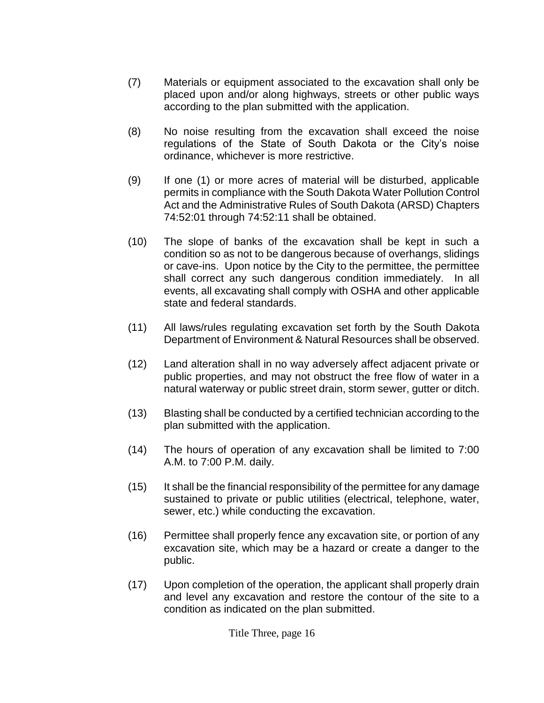- (7) Materials or equipment associated to the excavation shall only be placed upon and/or along highways, streets or other public ways according to the plan submitted with the application.
- (8) No noise resulting from the excavation shall exceed the noise regulations of the State of South Dakota or the City's noise ordinance, whichever is more restrictive.
- (9) If one (1) or more acres of material will be disturbed, applicable permits in compliance with the South Dakota Water Pollution Control Act and the Administrative Rules of South Dakota (ARSD) Chapters 74:52:01 through 74:52:11 shall be obtained.
- (10) The slope of banks of the excavation shall be kept in such a condition so as not to be dangerous because of overhangs, slidings or cave-ins. Upon notice by the City to the permittee, the permittee shall correct any such dangerous condition immediately. In all events, all excavating shall comply with OSHA and other applicable state and federal standards.
- (11) All laws/rules regulating excavation set forth by the South Dakota Department of Environment & Natural Resources shall be observed.
- (12) Land alteration shall in no way adversely affect adjacent private or public properties, and may not obstruct the free flow of water in a natural waterway or public street drain, storm sewer, gutter or ditch.
- (13) Blasting shall be conducted by a certified technician according to the plan submitted with the application.
- (14) The hours of operation of any excavation shall be limited to 7:00 A.M. to 7:00 P.M. daily.
- (15) It shall be the financial responsibility of the permittee for any damage sustained to private or public utilities (electrical, telephone, water, sewer, etc.) while conducting the excavation.
- (16) Permittee shall properly fence any excavation site, or portion of any excavation site, which may be a hazard or create a danger to the public.
- (17) Upon completion of the operation, the applicant shall properly drain and level any excavation and restore the contour of the site to a condition as indicated on the plan submitted.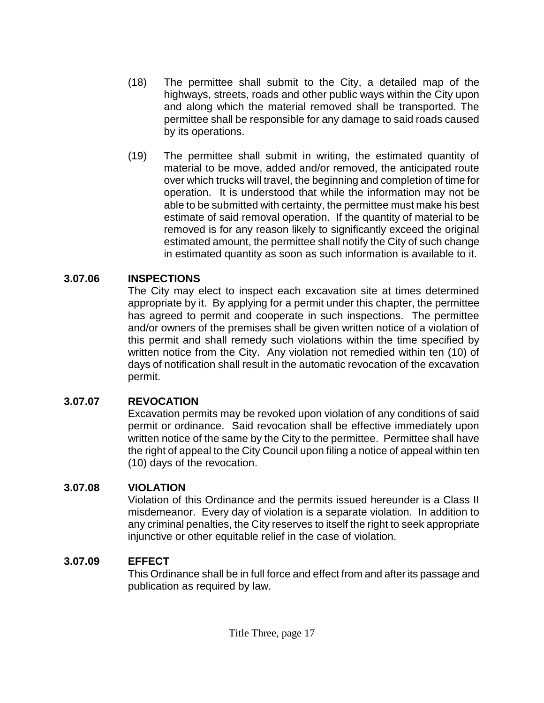- (18) The permittee shall submit to the City, a detailed map of the highways, streets, roads and other public ways within the City upon and along which the material removed shall be transported. The permittee shall be responsible for any damage to said roads caused by its operations.
- (19) The permittee shall submit in writing, the estimated quantity of material to be move, added and/or removed, the anticipated route over which trucks will travel, the beginning and completion of time for operation. It is understood that while the information may not be able to be submitted with certainty, the permittee must make his best estimate of said removal operation. If the quantity of material to be removed is for any reason likely to significantly exceed the original estimated amount, the permittee shall notify the City of such change in estimated quantity as soon as such information is available to it.

#### **3.07.06 INSPECTIONS**

The City may elect to inspect each excavation site at times determined appropriate by it. By applying for a permit under this chapter, the permittee has agreed to permit and cooperate in such inspections. The permittee and/or owners of the premises shall be given written notice of a violation of this permit and shall remedy such violations within the time specified by written notice from the City. Any violation not remedied within ten (10) of days of notification shall result in the automatic revocation of the excavation permit.

### **3.07.07 REVOCATION**

Excavation permits may be revoked upon violation of any conditions of said permit or ordinance. Said revocation shall be effective immediately upon written notice of the same by the City to the permittee. Permittee shall have the right of appeal to the City Council upon filing a notice of appeal within ten (10) days of the revocation.

#### **3.07.08 VIOLATION**

Violation of this Ordinance and the permits issued hereunder is a Class II misdemeanor. Every day of violation is a separate violation. In addition to any criminal penalties, the City reserves to itself the right to seek appropriate injunctive or other equitable relief in the case of violation.

### **3.07.09 EFFECT**

This Ordinance shall be in full force and effect from and after its passage and publication as required by law.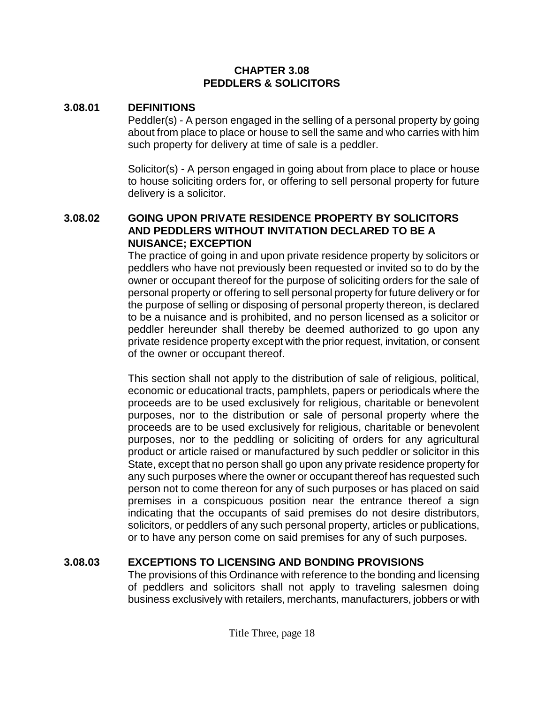#### **CHAPTER 3.08 PEDDLERS & SOLICITORS**

#### **3.08.01 DEFINITIONS**

Peddler(s) - A person engaged in the selling of a personal property by going about from place to place or house to sell the same and who carries with him such property for delivery at time of sale is a peddler.

Solicitor(s) - A person engaged in going about from place to place or house to house soliciting orders for, or offering to sell personal property for future delivery is a solicitor.

#### **3.08.02 GOING UPON PRIVATE RESIDENCE PROPERTY BY SOLICITORS AND PEDDLERS WITHOUT INVITATION DECLARED TO BE A NUISANCE; EXCEPTION**

The practice of going in and upon private residence property by solicitors or peddlers who have not previously been requested or invited so to do by the owner or occupant thereof for the purpose of soliciting orders for the sale of personal property or offering to sell personal property for future delivery or for the purpose of selling or disposing of personal property thereon, is declared to be a nuisance and is prohibited, and no person licensed as a solicitor or peddler hereunder shall thereby be deemed authorized to go upon any private residence property except with the prior request, invitation, or consent of the owner or occupant thereof.

This section shall not apply to the distribution of sale of religious, political, economic or educational tracts, pamphlets, papers or periodicals where the proceeds are to be used exclusively for religious, charitable or benevolent purposes, nor to the distribution or sale of personal property where the proceeds are to be used exclusively for religious, charitable or benevolent purposes, nor to the peddling or soliciting of orders for any agricultural product or article raised or manufactured by such peddler or solicitor in this State, except that no person shall go upon any private residence property for any such purposes where the owner or occupant thereof has requested such person not to come thereon for any of such purposes or has placed on said premises in a conspicuous position near the entrance thereof a sign indicating that the occupants of said premises do not desire distributors, solicitors, or peddlers of any such personal property, articles or publications, or to have any person come on said premises for any of such purposes.

### **3.08.03 EXCEPTIONS TO LICENSING AND BONDING PROVISIONS**

The provisions of this Ordinance with reference to the bonding and licensing of peddlers and solicitors shall not apply to traveling salesmen doing business exclusively with retailers, merchants, manufacturers, jobbers or with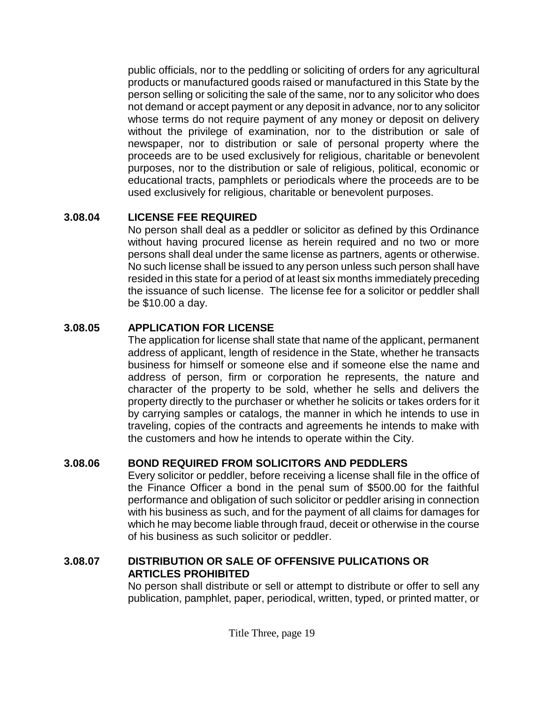public officials, nor to the peddling or soliciting of orders for any agricultural products or manufactured goods raised or manufactured in this State by the person selling or soliciting the sale of the same, nor to any solicitor who does not demand or accept payment or any deposit in advance, nor to any solicitor whose terms do not require payment of any money or deposit on delivery without the privilege of examination, nor to the distribution or sale of newspaper, nor to distribution or sale of personal property where the proceeds are to be used exclusively for religious, charitable or benevolent purposes, nor to the distribution or sale of religious, political, economic or educational tracts, pamphlets or periodicals where the proceeds are to be used exclusively for religious, charitable or benevolent purposes.

### **3.08.04 LICENSE FEE REQUIRED**

No person shall deal as a peddler or solicitor as defined by this Ordinance without having procured license as herein required and no two or more persons shall deal under the same license as partners, agents or otherwise. No such license shall be issued to any person unless such person shall have resided in this state for a period of at least six months immediately preceding the issuance of such license. The license fee for a solicitor or peddler shall be \$10.00 a day.

## **3.08.05 APPLICATION FOR LICENSE**

The application for license shall state that name of the applicant, permanent address of applicant, length of residence in the State, whether he transacts business for himself or someone else and if someone else the name and address of person, firm or corporation he represents, the nature and character of the property to be sold, whether he sells and delivers the property directly to the purchaser or whether he solicits or takes orders for it by carrying samples or catalogs, the manner in which he intends to use in traveling, copies of the contracts and agreements he intends to make with the customers and how he intends to operate within the City.

## **3.08.06 BOND REQUIRED FROM SOLICITORS AND PEDDLERS**

Every solicitor or peddler, before receiving a license shall file in the office of the Finance Officer a bond in the penal sum of \$500.00 for the faithful performance and obligation of such solicitor or peddler arising in connection with his business as such, and for the payment of all claims for damages for which he may become liable through fraud, deceit or otherwise in the course of his business as such solicitor or peddler.

### **3.08.07 DISTRIBUTION OR SALE OF OFFENSIVE PULICATIONS OR ARTICLES PROHIBITED**

No person shall distribute or sell or attempt to distribute or offer to sell any publication, pamphlet, paper, periodical, written, typed, or printed matter, or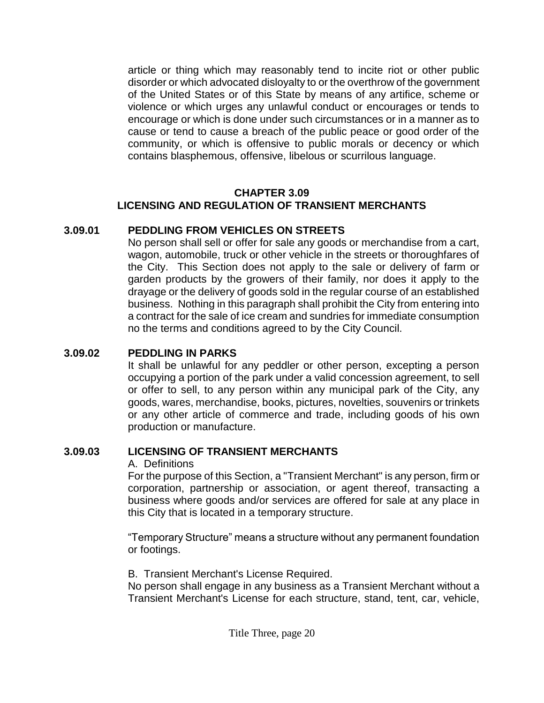article or thing which may reasonably tend to incite riot or other public disorder or which advocated disloyalty to or the overthrow of the government of the United States or of this State by means of any artifice, scheme or violence or which urges any unlawful conduct or encourages or tends to encourage or which is done under such circumstances or in a manner as to cause or tend to cause a breach of the public peace or good order of the community, or which is offensive to public morals or decency or which contains blasphemous, offensive, libelous or scurrilous language.

#### **CHAPTER 3.09 LICENSING AND REGULATION OF TRANSIENT MERCHANTS**

#### **3.09.01 PEDDLING FROM VEHICLES ON STREETS**

No person shall sell or offer for sale any goods or merchandise from a cart, wagon, automobile, truck or other vehicle in the streets or thoroughfares of the City. This Section does not apply to the sale or delivery of farm or garden products by the growers of their family, nor does it apply to the drayage or the delivery of goods sold in the regular course of an established business. Nothing in this paragraph shall prohibit the City from entering into a contract for the sale of ice cream and sundries for immediate consumption no the terms and conditions agreed to by the City Council.

#### **3.09.02 PEDDLING IN PARKS**

It shall be unlawful for any peddler or other person, excepting a person occupying a portion of the park under a valid concession agreement, to sell or offer to sell, to any person within any municipal park of the City, any goods, wares, merchandise, books, pictures, novelties, souvenirs or trinkets or any other article of commerce and trade, including goods of his own production or manufacture.

#### **3.09.03 LICENSING OF TRANSIENT MERCHANTS**

A. Definitions

For the purpose of this Section, a "Transient Merchant" is any person, firm or corporation, partnership or association, or agent thereof, transacting a business where goods and/or services are offered for sale at any place in this City that is located in a temporary structure.

"Temporary Structure" means a structure without any permanent foundation or footings.

B. Transient Merchant's License Required.

No person shall engage in any business as a Transient Merchant without a Transient Merchant's License for each structure, stand, tent, car, vehicle,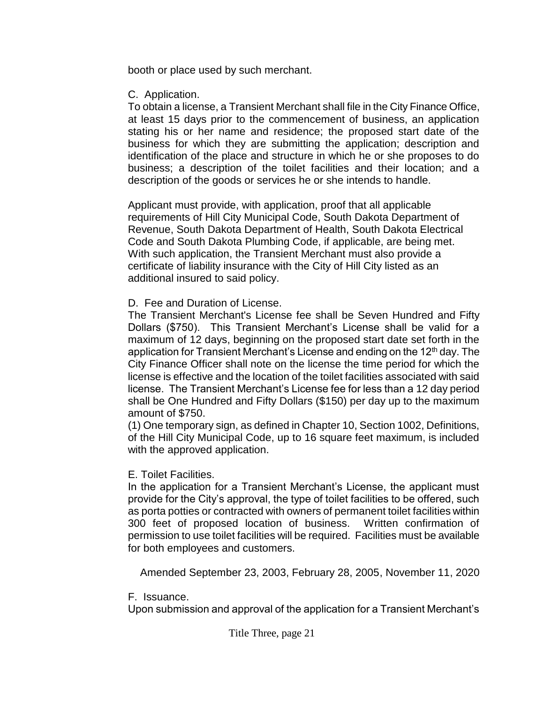booth or place used by such merchant.

C. Application.

To obtain a license, a Transient Merchant shall file in the City Finance Office, at least 15 days prior to the commencement of business, an application stating his or her name and residence; the proposed start date of the business for which they are submitting the application; description and identification of the place and structure in which he or she proposes to do business; a description of the toilet facilities and their location; and a description of the goods or services he or she intends to handle.

Applicant must provide, with application, proof that all applicable requirements of Hill City Municipal Code, South Dakota Department of Revenue, South Dakota Department of Health, South Dakota Electrical Code and South Dakota Plumbing Code, if applicable, are being met. With such application, the Transient Merchant must also provide a certificate of liability insurance with the City of Hill City listed as an additional insured to said policy.

### D. Fee and Duration of License.

The Transient Merchant's License fee shall be Seven Hundred and Fifty Dollars (\$750). This Transient Merchant's License shall be valid for a maximum of 12 days, beginning on the proposed start date set forth in the application for Transient Merchant's License and ending on the 12<sup>th</sup> day. The City Finance Officer shall note on the license the time period for which the license is effective and the location of the toilet facilities associated with said license. The Transient Merchant's License fee for less than a 12 day period shall be One Hundred and Fifty Dollars (\$150) per day up to the maximum amount of \$750.

(1) One temporary sign, as defined in Chapter 10, Section 1002, Definitions, of the Hill City Municipal Code, up to 16 square feet maximum, is included with the approved application.

E. Toilet Facilities.

In the application for a Transient Merchant's License, the applicant must provide for the City's approval, the type of toilet facilities to be offered, such as porta potties or contracted with owners of permanent toilet facilities within 300 feet of proposed location of business. Written confirmation of permission to use toilet facilities will be required. Facilities must be available for both employees and customers.

Amended September 23, 2003, February 28, 2005, November 11, 2020

F. Issuance.

Upon submission and approval of the application for a Transient Merchant's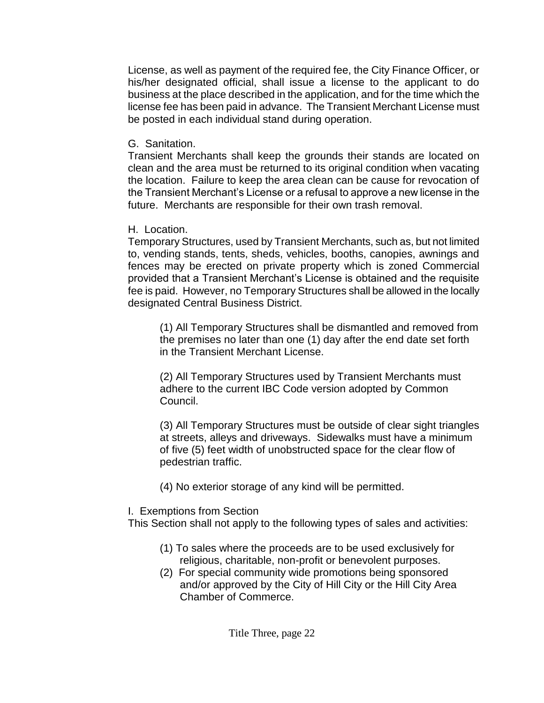License, as well as payment of the required fee, the City Finance Officer, or his/her designated official, shall issue a license to the applicant to do business at the place described in the application, and for the time which the license fee has been paid in advance. The Transient Merchant License must be posted in each individual stand during operation.

G. Sanitation.

Transient Merchants shall keep the grounds their stands are located on clean and the area must be returned to its original condition when vacating the location. Failure to keep the area clean can be cause for revocation of the Transient Merchant's License or a refusal to approve a new license in the future. Merchants are responsible for their own trash removal.

H. Location.

Temporary Structures, used by Transient Merchants, such as, but not limited to, vending stands, tents, sheds, vehicles, booths, canopies, awnings and fences may be erected on private property which is zoned Commercial provided that a Transient Merchant's License is obtained and the requisite fee is paid. However, no Temporary Structures shall be allowed in the locally designated Central Business District.

(1) All Temporary Structures shall be dismantled and removed from the premises no later than one (1) day after the end date set forth in the Transient Merchant License.

(2) All Temporary Structures used by Transient Merchants must adhere to the current IBC Code version adopted by Common Council.

(3) All Temporary Structures must be outside of clear sight triangles at streets, alleys and driveways. Sidewalks must have a minimum of five (5) feet width of unobstructed space for the clear flow of pedestrian traffic.

(4) No exterior storage of any kind will be permitted.

# I. Exemptions from Section

This Section shall not apply to the following types of sales and activities:

- (1) To sales where the proceeds are to be used exclusively for religious, charitable, non-profit or benevolent purposes.
- (2) For special community wide promotions being sponsored and/or approved by the City of Hill City or the Hill City Area Chamber of Commerce.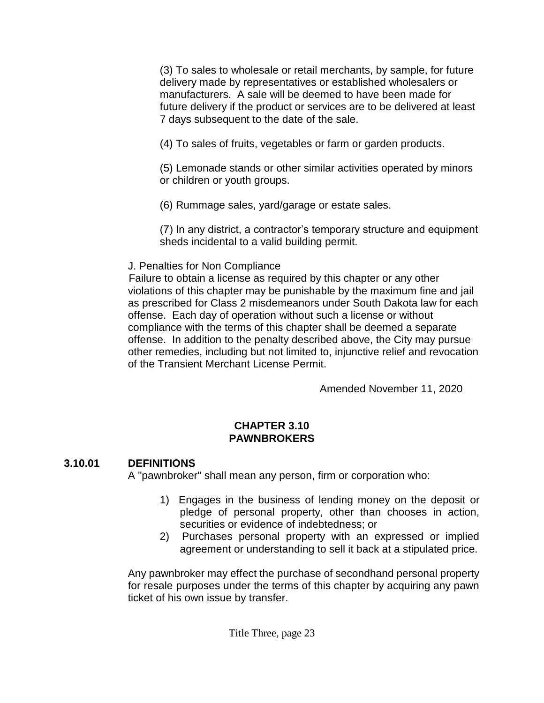(3) To sales to wholesale or retail merchants, by sample, for future delivery made by representatives or established wholesalers or manufacturers. A sale will be deemed to have been made for future delivery if the product or services are to be delivered at least 7 days subsequent to the date of the sale.

(4) To sales of fruits, vegetables or farm or garden products.

(5) Lemonade stands or other similar activities operated by minors or children or youth groups.

(6) Rummage sales, yard/garage or estate sales.

(7) In any district, a contractor's temporary structure and equipment sheds incidental to a valid building permit.

J. Penalties for Non Compliance

 Failure to obtain a license as required by this chapter or any other violations of this chapter may be punishable by the maximum fine and jail as prescribed for Class 2 misdemeanors under South Dakota law for each offense. Each day of operation without such a license or without compliance with the terms of this chapter shall be deemed a separate offense. In addition to the penalty described above, the City may pursue other remedies, including but not limited to, injunctive relief and revocation of the Transient Merchant License Permit.

Amended November 11, 2020

## **CHAPTER 3.10 PAWNBROKERS**

# **3.10.01 DEFINITIONS**

A "pawnbroker" shall mean any person, firm or corporation who:

- 1) Engages in the business of lending money on the deposit or pledge of personal property, other than chooses in action, securities or evidence of indebtedness; or
- 2) Purchases personal property with an expressed or implied agreement or understanding to sell it back at a stipulated price.

Any pawnbroker may effect the purchase of secondhand personal property for resale purposes under the terms of this chapter by acquiring any pawn ticket of his own issue by transfer.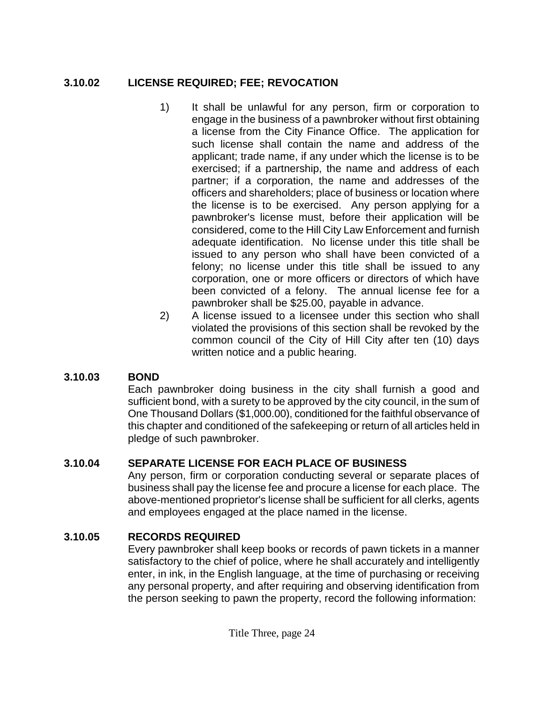### **3.10.02 LICENSE REQUIRED; FEE; REVOCATION**

- 1) It shall be unlawful for any person, firm or corporation to engage in the business of a pawnbroker without first obtaining a license from the City Finance Office. The application for such license shall contain the name and address of the applicant; trade name, if any under which the license is to be exercised; if a partnership, the name and address of each partner; if a corporation, the name and addresses of the officers and shareholders; place of business or location where the license is to be exercised. Any person applying for a pawnbroker's license must, before their application will be considered, come to the Hill City Law Enforcement and furnish adequate identification. No license under this title shall be issued to any person who shall have been convicted of a felony; no license under this title shall be issued to any corporation, one or more officers or directors of which have been convicted of a felony. The annual license fee for a pawnbroker shall be \$25.00, payable in advance.
- 2) A license issued to a licensee under this section who shall violated the provisions of this section shall be revoked by the common council of the City of Hill City after ten (10) days written notice and a public hearing.

## **3.10.03 BOND**

Each pawnbroker doing business in the city shall furnish a good and sufficient bond, with a surety to be approved by the city council, in the sum of One Thousand Dollars (\$1,000.00), conditioned for the faithful observance of this chapter and conditioned of the safekeeping or return of all articles held in pledge of such pawnbroker.

## **3.10.04 SEPARATE LICENSE FOR EACH PLACE OF BUSINESS**

Any person, firm or corporation conducting several or separate places of business shall pay the license fee and procure a license for each place. The above-mentioned proprietor's license shall be sufficient for all clerks, agents and employees engaged at the place named in the license.

## **3.10.05 RECORDS REQUIRED**

Every pawnbroker shall keep books or records of pawn tickets in a manner satisfactory to the chief of police, where he shall accurately and intelligently enter, in ink, in the English language, at the time of purchasing or receiving any personal property, and after requiring and observing identification from the person seeking to pawn the property, record the following information: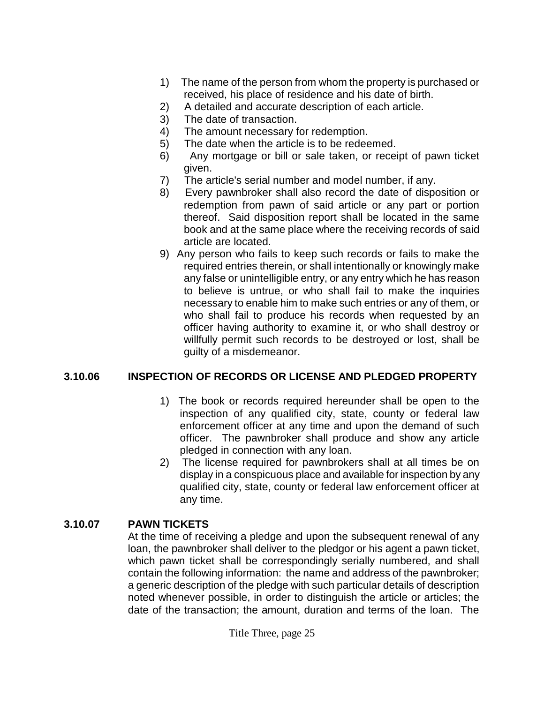- 1) The name of the person from whom the property is purchased or received, his place of residence and his date of birth.
- 2) A detailed and accurate description of each article.
- 3) The date of transaction.
- 4) The amount necessary for redemption.
- 5) The date when the article is to be redeemed.
- 6) Any mortgage or bill or sale taken, or receipt of pawn ticket given.
- 7) The article's serial number and model number, if any.
- 8) Every pawnbroker shall also record the date of disposition or redemption from pawn of said article or any part or portion thereof. Said disposition report shall be located in the same book and at the same place where the receiving records of said article are located.
- 9) Any person who fails to keep such records or fails to make the required entries therein, or shall intentionally or knowingly make any false or unintelligible entry, or any entry which he has reason to believe is untrue, or who shall fail to make the inquiries necessary to enable him to make such entries or any of them, or who shall fail to produce his records when requested by an officer having authority to examine it, or who shall destroy or willfully permit such records to be destroyed or lost, shall be guilty of a misdemeanor.

## **3.10.06 INSPECTION OF RECORDS OR LICENSE AND PLEDGED PROPERTY**

- 1) The book or records required hereunder shall be open to the inspection of any qualified city, state, county or federal law enforcement officer at any time and upon the demand of such officer. The pawnbroker shall produce and show any article pledged in connection with any loan.
- 2) The license required for pawnbrokers shall at all times be on display in a conspicuous place and available for inspection by any qualified city, state, county or federal law enforcement officer at any time.

### **3.10.07 PAWN TICKETS**

At the time of receiving a pledge and upon the subsequent renewal of any loan, the pawnbroker shall deliver to the pledgor or his agent a pawn ticket, which pawn ticket shall be correspondingly serially numbered, and shall contain the following information: the name and address of the pawnbroker; a generic description of the pledge with such particular details of description noted whenever possible, in order to distinguish the article or articles; the date of the transaction; the amount, duration and terms of the loan. The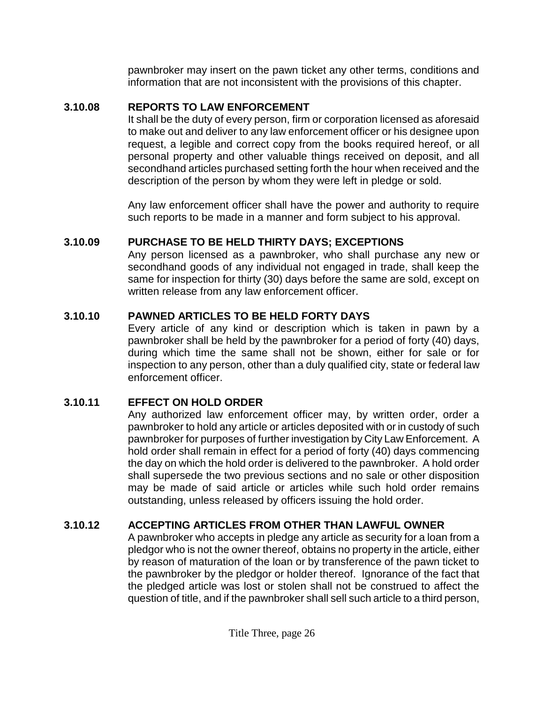pawnbroker may insert on the pawn ticket any other terms, conditions and information that are not inconsistent with the provisions of this chapter.

### **3.10.08 REPORTS TO LAW ENFORCEMENT**

It shall be the duty of every person, firm or corporation licensed as aforesaid to make out and deliver to any law enforcement officer or his designee upon request, a legible and correct copy from the books required hereof, or all personal property and other valuable things received on deposit, and all secondhand articles purchased setting forth the hour when received and the description of the person by whom they were left in pledge or sold.

Any law enforcement officer shall have the power and authority to require such reports to be made in a manner and form subject to his approval.

## **3.10.09 PURCHASE TO BE HELD THIRTY DAYS; EXCEPTIONS**

Any person licensed as a pawnbroker, who shall purchase any new or secondhand goods of any individual not engaged in trade, shall keep the same for inspection for thirty (30) days before the same are sold, except on written release from any law enforcement officer.

## **3.10.10 PAWNED ARTICLES TO BE HELD FORTY DAYS**

Every article of any kind or description which is taken in pawn by a pawnbroker shall be held by the pawnbroker for a period of forty (40) days, during which time the same shall not be shown, either for sale or for inspection to any person, other than a duly qualified city, state or federal law enforcement officer.

## **3.10.11 EFFECT ON HOLD ORDER**

Any authorized law enforcement officer may, by written order, order a pawnbroker to hold any article or articles deposited with or in custody of such pawnbroker for purposes of further investigation by City Law Enforcement. A hold order shall remain in effect for a period of forty (40) days commencing the day on which the hold order is delivered to the pawnbroker. A hold order shall supersede the two previous sections and no sale or other disposition may be made of said article or articles while such hold order remains outstanding, unless released by officers issuing the hold order.

## **3.10.12 ACCEPTING ARTICLES FROM OTHER THAN LAWFUL OWNER**

A pawnbroker who accepts in pledge any article as security for a loan from a pledgor who is not the owner thereof, obtains no property in the article, either by reason of maturation of the loan or by transference of the pawn ticket to the pawnbroker by the pledgor or holder thereof. Ignorance of the fact that the pledged article was lost or stolen shall not be construed to affect the question of title, and if the pawnbroker shall sell such article to a third person,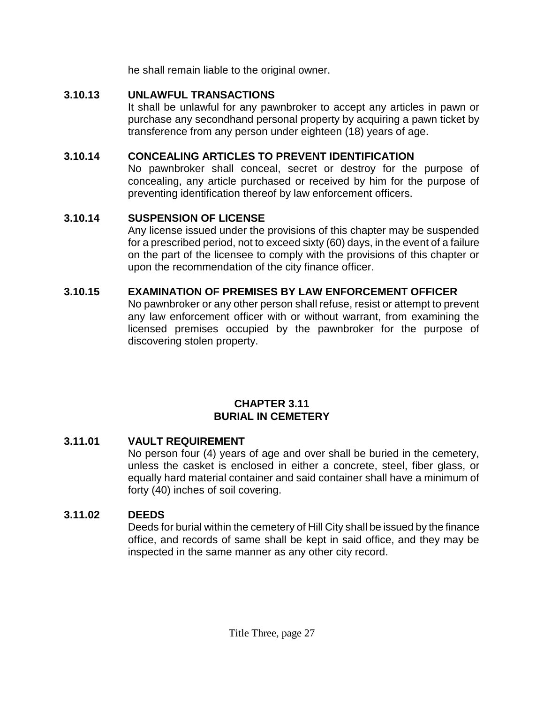he shall remain liable to the original owner.

### **3.10.13 UNLAWFUL TRANSACTIONS**

It shall be unlawful for any pawnbroker to accept any articles in pawn or purchase any secondhand personal property by acquiring a pawn ticket by transference from any person under eighteen (18) years of age.

### **3.10.14 CONCEALING ARTICLES TO PREVENT IDENTIFICATION**

No pawnbroker shall conceal, secret or destroy for the purpose of concealing, any article purchased or received by him for the purpose of preventing identification thereof by law enforcement officers.

## **3.10.14 SUSPENSION OF LICENSE**

Any license issued under the provisions of this chapter may be suspended for a prescribed period, not to exceed sixty (60) days, in the event of a failure on the part of the licensee to comply with the provisions of this chapter or upon the recommendation of the city finance officer.

# **3.10.15 EXAMINATION OF PREMISES BY LAW ENFORCEMENT OFFICER**

No pawnbroker or any other person shall refuse, resist or attempt to prevent any law enforcement officer with or without warrant, from examining the licensed premises occupied by the pawnbroker for the purpose of discovering stolen property.

### **CHAPTER 3.11 BURIAL IN CEMETERY**

## **3.11.01 VAULT REQUIREMENT**

No person four (4) years of age and over shall be buried in the cemetery, unless the casket is enclosed in either a concrete, steel, fiber glass, or equally hard material container and said container shall have a minimum of forty (40) inches of soil covering.

# **3.11.02 DEEDS**

Deeds for burial within the cemetery of Hill City shall be issued by the finance office, and records of same shall be kept in said office, and they may be inspected in the same manner as any other city record.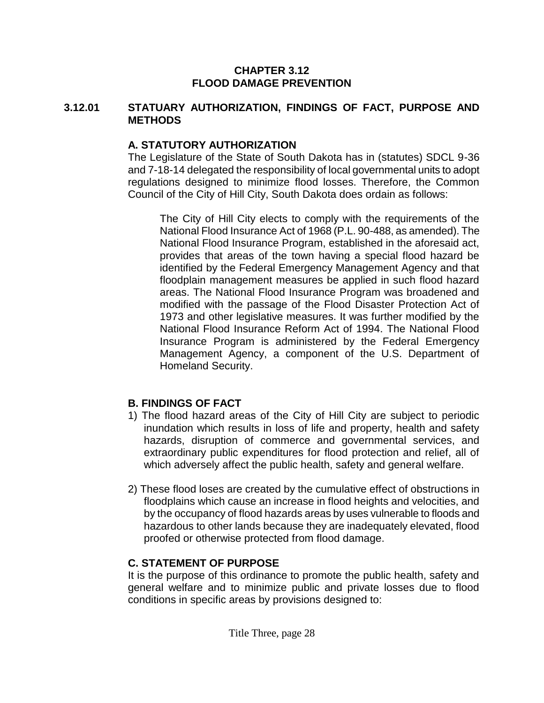#### **CHAPTER 3.12 FLOOD DAMAGE PREVENTION**

#### **3.12.01 STATUARY AUTHORIZATION, FINDINGS OF FACT, PURPOSE AND METHODS**

#### **A. STATUTORY AUTHORIZATION**

The Legislature of the State of South Dakota has in (statutes) SDCL 9-36 and 7-18-14 delegated the responsibility of local governmental units to adopt regulations designed to minimize flood losses. Therefore, the Common Council of the City of Hill City, South Dakota does ordain as follows:

The City of Hill City elects to comply with the requirements of the National Flood Insurance Act of 1968 (P.L. 90-488, as amended). The National Flood Insurance Program, established in the aforesaid act, provides that areas of the town having a special flood hazard be identified by the Federal Emergency Management Agency and that floodplain management measures be applied in such flood hazard areas. The National Flood Insurance Program was broadened and modified with the passage of the Flood Disaster Protection Act of 1973 and other legislative measures. It was further modified by the National Flood Insurance Reform Act of 1994. The National Flood Insurance Program is administered by the Federal Emergency Management Agency, a component of the U.S. Department of Homeland Security.

### **B. FINDINGS OF FACT**

- 1) The flood hazard areas of the City of Hill City are subject to periodic inundation which results in loss of life and property, health and safety hazards, disruption of commerce and governmental services, and extraordinary public expenditures for flood protection and relief, all of which adversely affect the public health, safety and general welfare.
- 2) These flood loses are created by the cumulative effect of obstructions in floodplains which cause an increase in flood heights and velocities, and by the occupancy of flood hazards areas by uses vulnerable to floods and hazardous to other lands because they are inadequately elevated, flood proofed or otherwise protected from flood damage.

## **C. STATEMENT OF PURPOSE**

It is the purpose of this ordinance to promote the public health, safety and general welfare and to minimize public and private losses due to flood conditions in specific areas by provisions designed to: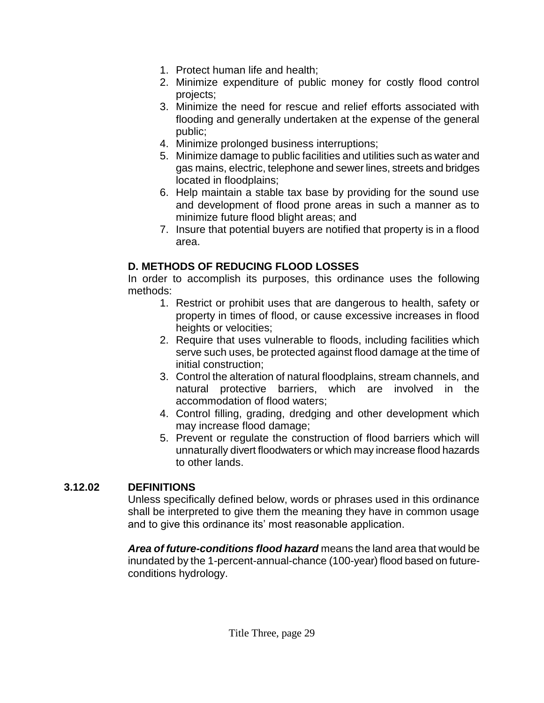- 1. Protect human life and health;
- 2. Minimize expenditure of public money for costly flood control projects;
- 3. Minimize the need for rescue and relief efforts associated with flooding and generally undertaken at the expense of the general public;
- 4. Minimize prolonged business interruptions;
- 5. Minimize damage to public facilities and utilities such as water and gas mains, electric, telephone and sewer lines, streets and bridges located in floodplains;
- 6. Help maintain a stable tax base by providing for the sound use and development of flood prone areas in such a manner as to minimize future flood blight areas; and
- 7. Insure that potential buyers are notified that property is in a flood area.

### **D. METHODS OF REDUCING FLOOD LOSSES**

In order to accomplish its purposes, this ordinance uses the following methods:

- 1. Restrict or prohibit uses that are dangerous to health, safety or property in times of flood, or cause excessive increases in flood heights or velocities;
- 2. Require that uses vulnerable to floods, including facilities which serve such uses, be protected against flood damage at the time of initial construction;
- 3. Control the alteration of natural floodplains, stream channels, and natural protective barriers, which are involved in the accommodation of flood waters;
- 4. Control filling, grading, dredging and other development which may increase flood damage;
- 5. Prevent or regulate the construction of flood barriers which will unnaturally divert floodwaters or which may increase flood hazards to other lands.

## **3.12.02 DEFINITIONS**

Unless specifically defined below, words or phrases used in this ordinance shall be interpreted to give them the meaning they have in common usage and to give this ordinance its' most reasonable application.

*Area of future-conditions flood hazard* means the land area that would be inundated by the 1-percent-annual-chance (100-year) flood based on futureconditions hydrology.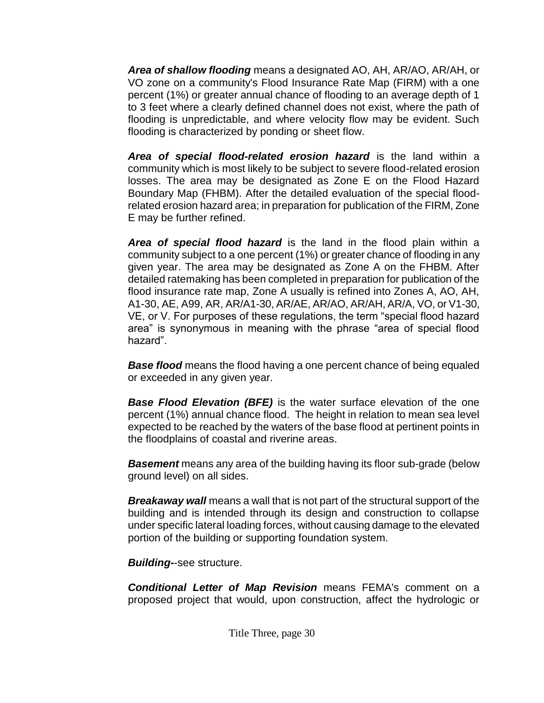*Area of shallow flooding* means a designated AO, AH, AR/AO, AR/AH, or VO zone on a community's Flood Insurance Rate Map (FIRM) with a one percent (1%) or greater annual chance of flooding to an average depth of 1 to 3 feet where a clearly defined channel does not exist, where the path of flooding is unpredictable, and where velocity flow may be evident. Such flooding is characterized by ponding or sheet flow.

*Area of special flood-related erosion hazard* is the land within a community which is most likely to be subject to severe flood-related erosion losses. The area may be designated as Zone E on the Flood Hazard Boundary Map (FHBM). After the detailed evaluation of the special floodrelated erosion hazard area; in preparation for publication of the FIRM, Zone E may be further refined.

*Area of special flood hazard* is the land in the flood plain within a community subject to a one percent (1%) or greater chance of flooding in any given year. The area may be designated as Zone A on the FHBM. After detailed ratemaking has been completed in preparation for publication of the flood insurance rate map, Zone A usually is refined into Zones A, AO, AH, A1-30, AE, A99, AR, AR/A1-30, AR/AE, AR/AO, AR/AH, AR/A, VO, or V1-30, VE, or V. For purposes of these regulations, the term "special flood hazard area" is synonymous in meaning with the phrase "area of special flood hazard".

**Base flood** means the flood having a one percent chance of being equaled or exceeded in any given year.

*Base Flood Elevation (BFE)* is the water surface elevation of the one percent (1%) annual chance flood. The height in relation to mean sea level expected to be reached by the waters of the base flood at pertinent points in the floodplains of coastal and riverine areas.

*Basement* means any area of the building having its floor sub-grade (below ground level) on all sides.

*Breakaway wall* means a wall that is not part of the structural support of the building and is intended through its design and construction to collapse under specific lateral loading forces, without causing damage to the elevated portion of the building or supporting foundation system.

*Building***-**-see structure.

*Conditional Letter of Map Revision* means FEMA's comment on a proposed project that would, upon construction, affect the hydrologic or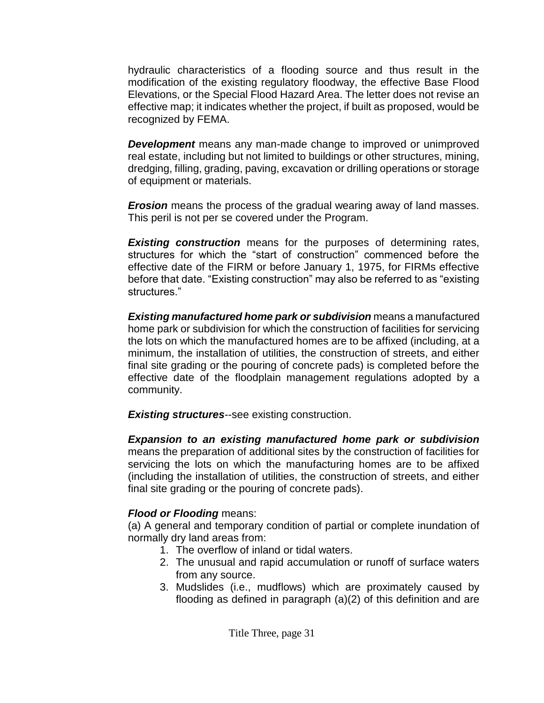hydraulic characteristics of a flooding source and thus result in the modification of the existing regulatory floodway, the effective Base Flood Elevations, or the Special Flood Hazard Area. The letter does not revise an effective map; it indicates whether the project, if built as proposed, would be recognized by FEMA.

*Development* means any man-made change to improved or unimproved real estate, including but not limited to buildings or other structures, mining, dredging, filling, grading, paving, excavation or drilling operations or storage of equipment or materials.

*Erosion* means the process of the gradual wearing away of land masses. This peril is not per se covered under the Program.

*Existing construction* means for the purposes of determining rates, structures for which the "start of construction" commenced before the effective date of the FIRM or before January 1, 1975, for FIRMs effective before that date. "Existing construction" may also be referred to as "existing structures."

*Existing manufactured home park or subdivision* means a manufactured home park or subdivision for which the construction of facilities for servicing the lots on which the manufactured homes are to be affixed (including, at a minimum, the installation of utilities, the construction of streets, and either final site grading or the pouring of concrete pads) is completed before the effective date of the floodplain management regulations adopted by a community.

*Existing structures*--see existing construction.

*Expansion to an existing manufactured home park or subdivision* means the preparation of additional sites by the construction of facilities for servicing the lots on which the manufacturing homes are to be affixed (including the installation of utilities, the construction of streets, and either final site grading or the pouring of concrete pads).

# *Flood or Flooding* means:

(a) A general and temporary condition of partial or complete inundation of normally dry land areas from:

- 1. The overflow of inland or tidal waters.
- 2. The unusual and rapid accumulation or runoff of surface waters from any source.
- 3. Mudslides (i.e., mudflows) which are proximately caused by flooding as defined in paragraph (a)(2) of this definition and are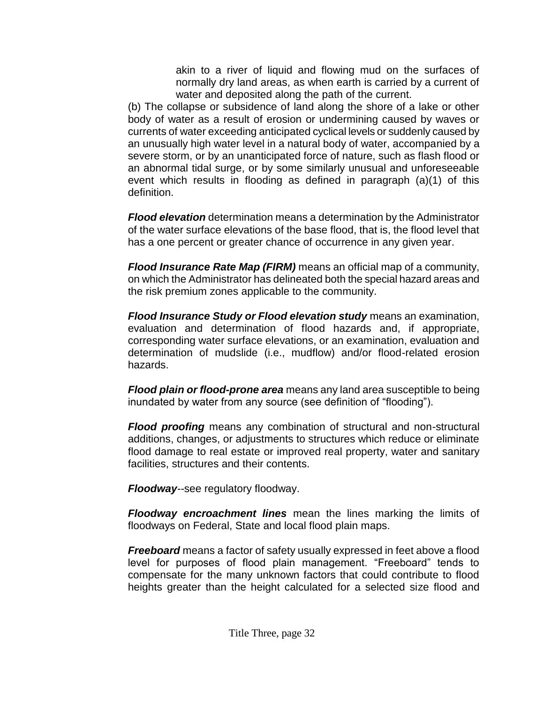akin to a river of liquid and flowing mud on the surfaces of normally dry land areas, as when earth is carried by a current of water and deposited along the path of the current.

(b) The collapse or subsidence of land along the shore of a lake or other body of water as a result of erosion or undermining caused by waves or currents of water exceeding anticipated cyclical levels or suddenly caused by an unusually high water level in a natural body of water, accompanied by a severe storm, or by an unanticipated force of nature, such as flash flood or an abnormal tidal surge, or by some similarly unusual and unforeseeable event which results in flooding as defined in paragraph (a)(1) of this definition.

*Flood elevation* determination means a determination by the Administrator of the water surface elevations of the base flood, that is, the flood level that has a one percent or greater chance of occurrence in any given year.

*Flood Insurance Rate Map (FIRM)* means an official map of a community, on which the Administrator has delineated both the special hazard areas and the risk premium zones applicable to the community.

*Flood Insurance Study or Flood elevation study* means an examination, evaluation and determination of flood hazards and, if appropriate, corresponding water surface elevations, or an examination, evaluation and determination of mudslide (i.e., mudflow) and/or flood-related erosion hazards.

*Flood plain or flood-prone area* means any land area susceptible to being inundated by water from any source (see definition of "flooding").

*Flood proofing* means any combination of structural and non-structural additions, changes, or adjustments to structures which reduce or eliminate flood damage to real estate or improved real property, water and sanitary facilities, structures and their contents.

*Floodway--*see regulatory floodway.

*Floodway encroachment lines* mean the lines marking the limits of floodways on Federal, State and local flood plain maps.

*Freeboard* means a factor of safety usually expressed in feet above a flood level for purposes of flood plain management. "Freeboard" tends to compensate for the many unknown factors that could contribute to flood heights greater than the height calculated for a selected size flood and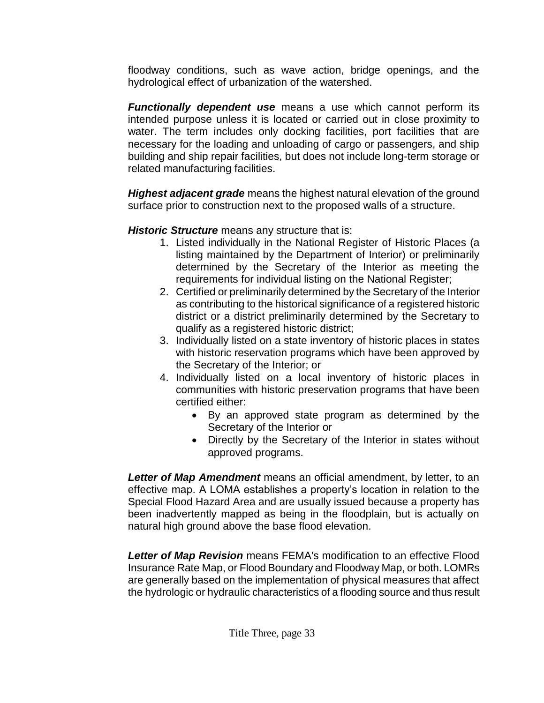floodway conditions, such as wave action, bridge openings, and the hydrological effect of urbanization of the watershed.

*Functionally dependent use* means a use which cannot perform its intended purpose unless it is located or carried out in close proximity to water. The term includes only docking facilities, port facilities that are necessary for the loading and unloading of cargo or passengers, and ship building and ship repair facilities, but does not include long-term storage or related manufacturing facilities.

*Highest adjacent grade* means the highest natural elevation of the ground surface prior to construction next to the proposed walls of a structure.

*Historic Structure* means any structure that is:

- 1. Listed individually in the National Register of Historic Places (a listing maintained by the Department of Interior) or preliminarily determined by the Secretary of the Interior as meeting the requirements for individual listing on the National Register;
- 2. Certified or preliminarily determined by the Secretary of the Interior as contributing to the historical significance of a registered historic district or a district preliminarily determined by the Secretary to qualify as a registered historic district;
- 3. Individually listed on a state inventory of historic places in states with historic reservation programs which have been approved by the Secretary of the Interior; or
- 4. Individually listed on a local inventory of historic places in communities with historic preservation programs that have been certified either:
	- By an approved state program as determined by the Secretary of the Interior or
	- Directly by the Secretary of the Interior in states without approved programs.

*Letter of Map Amendment* means an official amendment, by letter, to an effective map. A LOMA establishes a property's location in relation to the Special Flood Hazard Area and are usually issued because a property has been inadvertently mapped as being in the floodplain, but is actually on natural high ground above the base flood elevation.

*Letter of Map Revision* means FEMA's modification to an effective Flood Insurance Rate Map, or Flood Boundary and Floodway Map, or both. LOMRs are generally based on the implementation of physical measures that affect the hydrologic or hydraulic characteristics of a flooding source and thus result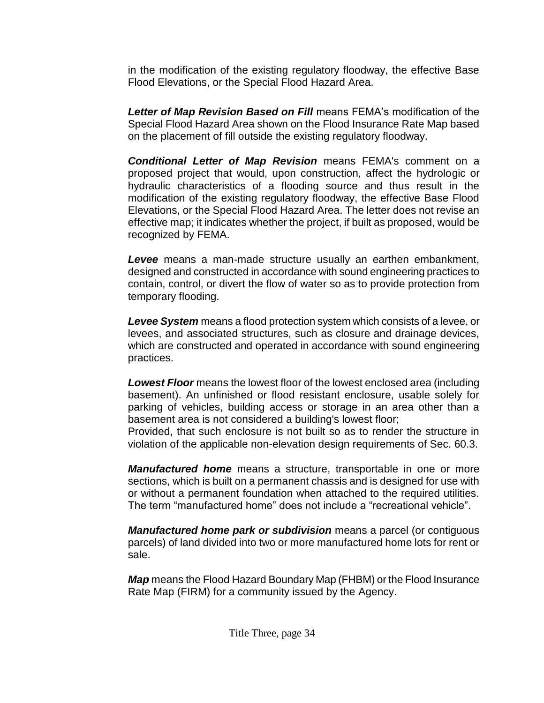in the modification of the existing regulatory floodway, the effective Base Flood Elevations, or the Special Flood Hazard Area.

*Letter of Map Revision Based on Fill* means FEMA's modification of the Special Flood Hazard Area shown on the Flood Insurance Rate Map based on the placement of fill outside the existing regulatory floodway.

*Conditional Letter of Map Revision* means FEMA's comment on a proposed project that would, upon construction, affect the hydrologic or hydraulic characteristics of a flooding source and thus result in the modification of the existing regulatory floodway, the effective Base Flood Elevations, or the Special Flood Hazard Area. The letter does not revise an effective map; it indicates whether the project, if built as proposed, would be recognized by FEMA.

*Levee* means a man-made structure usually an earthen embankment, designed and constructed in accordance with sound engineering practices to contain, control, or divert the flow of water so as to provide protection from temporary flooding.

*Levee System* means a flood protection system which consists of a levee, or levees, and associated structures, such as closure and drainage devices, which are constructed and operated in accordance with sound engineering practices.

*Lowest Floor* means the lowest floor of the lowest enclosed area (including basement). An unfinished or flood resistant enclosure, usable solely for parking of vehicles, building access or storage in an area other than a basement area is not considered a building's lowest floor;

Provided, that such enclosure is not built so as to render the structure in violation of the applicable non-elevation design requirements of Sec. 60.3.

*Manufactured home* means a structure, transportable in one or more sections, which is built on a permanent chassis and is designed for use with or without a permanent foundation when attached to the required utilities. The term "manufactured home" does not include a "recreational vehicle".

*Manufactured home park or subdivision* means a parcel (or contiguous parcels) of land divided into two or more manufactured home lots for rent or sale.

*Map* means the Flood Hazard Boundary Map (FHBM) or the Flood Insurance Rate Map (FIRM) for a community issued by the Agency.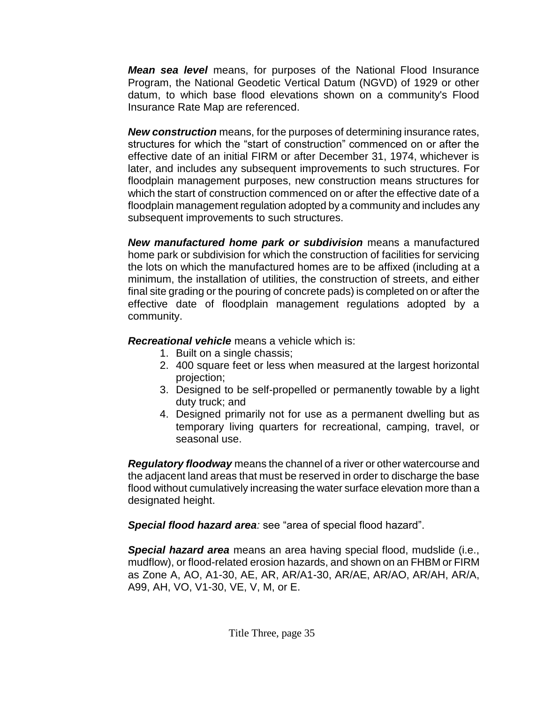*Mean sea level* means, for purposes of the National Flood Insurance Program, the National Geodetic Vertical Datum (NGVD) of 1929 or other datum, to which base flood elevations shown on a community's Flood Insurance Rate Map are referenced.

*New construction* means, for the purposes of determining insurance rates, structures for which the "start of construction" commenced on or after the effective date of an initial FIRM or after December 31, 1974, whichever is later, and includes any subsequent improvements to such structures. For floodplain management purposes, new construction means structures for which the start of construction commenced on or after the effective date of a floodplain management regulation adopted by a community and includes any subsequent improvements to such structures.

*New manufactured home park or subdivision* means a manufactured home park or subdivision for which the construction of facilities for servicing the lots on which the manufactured homes are to be affixed (including at a minimum, the installation of utilities, the construction of streets, and either final site grading or the pouring of concrete pads) is completed on or after the effective date of floodplain management regulations adopted by a community.

*Recreational vehicle* means a vehicle which is:

- 1. Built on a single chassis;
- 2. 400 square feet or less when measured at the largest horizontal projection;
- 3. Designed to be self-propelled or permanently towable by a light duty truck; and
- 4. Designed primarily not for use as a permanent dwelling but as temporary living quarters for recreational, camping, travel, or seasonal use.

*Regulatory floodway* means the channel of a river or other watercourse and the adjacent land areas that must be reserved in order to discharge the base flood without cumulatively increasing the water surface elevation more than a designated height.

*Special flood hazard area:* see "area of special flood hazard".

*Special hazard area* means an area having special flood, mudslide (i.e., mudflow), or flood-related erosion hazards, and shown on an FHBM or FIRM as Zone A, AO, A1-30, AE, AR, AR/A1-30, AR/AE, AR/AO, AR/AH, AR/A, A99, AH, VO, V1-30, VE, V, M, or E.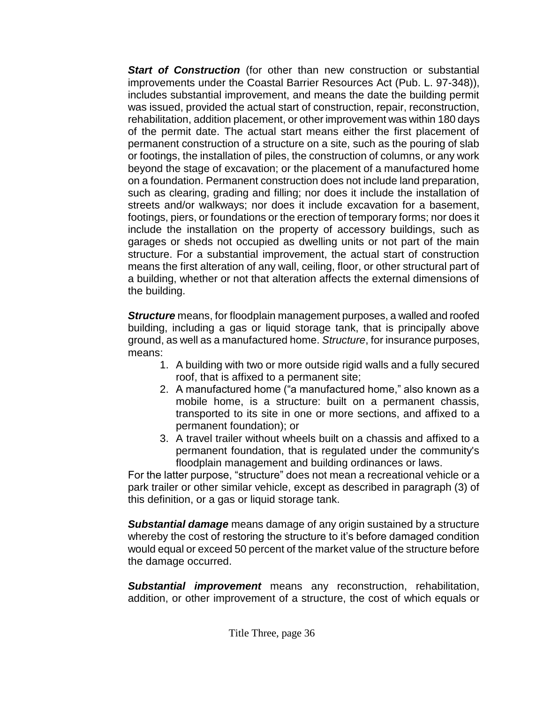*Start of Construction* (for other than new construction or substantial improvements under the Coastal Barrier Resources Act (Pub. L. 97-348)), includes substantial improvement, and means the date the building permit was issued, provided the actual start of construction, repair, reconstruction, rehabilitation, addition placement, or other improvement was within 180 days of the permit date. The actual start means either the first placement of permanent construction of a structure on a site, such as the pouring of slab or footings, the installation of piles, the construction of columns, or any work beyond the stage of excavation; or the placement of a manufactured home on a foundation. Permanent construction does not include land preparation, such as clearing, grading and filling; nor does it include the installation of streets and/or walkways; nor does it include excavation for a basement, footings, piers, or foundations or the erection of temporary forms; nor does it include the installation on the property of accessory buildings, such as garages or sheds not occupied as dwelling units or not part of the main structure. For a substantial improvement, the actual start of construction means the first alteration of any wall, ceiling, floor, or other structural part of a building, whether or not that alteration affects the external dimensions of the building.

*Structure* means, for floodplain management purposes, a walled and roofed building, including a gas or liquid storage tank, that is principally above ground, as well as a manufactured home. *Structure*, for insurance purposes, means:

- 1. A building with two or more outside rigid walls and a fully secured roof, that is affixed to a permanent site;
- 2. A manufactured home ("a manufactured home," also known as a mobile home, is a structure: built on a permanent chassis, transported to its site in one or more sections, and affixed to a permanent foundation); or
- 3. A travel trailer without wheels built on a chassis and affixed to a permanent foundation, that is regulated under the community's floodplain management and building ordinances or laws.

For the latter purpose, "structure" does not mean a recreational vehicle or a park trailer or other similar vehicle, except as described in paragraph (3) of this definition, or a gas or liquid storage tank.

*Substantial damage* means damage of any origin sustained by a structure whereby the cost of restoring the structure to it's before damaged condition would equal or exceed 50 percent of the market value of the structure before the damage occurred.

*Substantial improvement* means any reconstruction, rehabilitation, addition, or other improvement of a structure, the cost of which equals or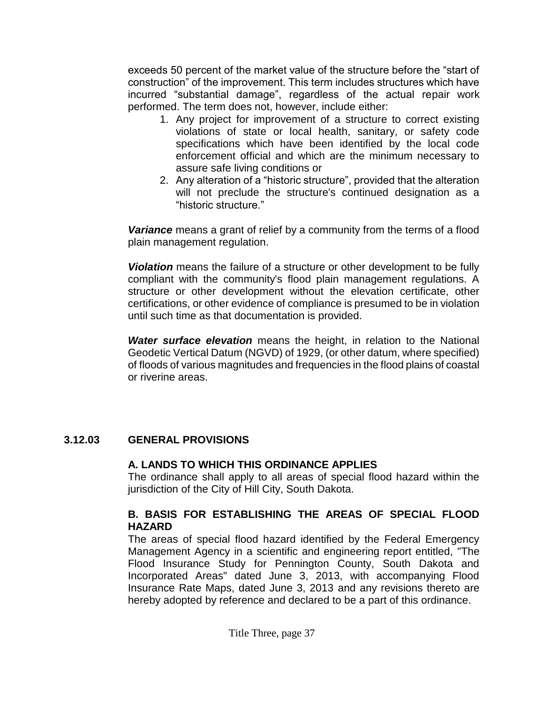exceeds 50 percent of the market value of the structure before the "start of construction" of the improvement. This term includes structures which have incurred "substantial damage", regardless of the actual repair work performed. The term does not, however, include either:

- 1. Any project for improvement of a structure to correct existing violations of state or local health, sanitary, or safety code specifications which have been identified by the local code enforcement official and which are the minimum necessary to assure safe living conditions or
- 2. Any alteration of a "historic structure", provided that the alteration will not preclude the structure's continued designation as a "historic structure."

*Variance* means a grant of relief by a community from the terms of a flood plain management regulation.

*Violation* means the failure of a structure or other development to be fully compliant with the community's flood plain management regulations. A structure or other development without the elevation certificate, other certifications, or other evidence of compliance is presumed to be in violation until such time as that documentation is provided.

*Water surface elevation* means the height, in relation to the National Geodetic Vertical Datum (NGVD) of 1929, (or other datum, where specified) of floods of various magnitudes and frequencies in the flood plains of coastal or riverine areas.

### **3.12.03 GENERAL PROVISIONS**

### **A. LANDS TO WHICH THIS ORDINANCE APPLIES**

The ordinance shall apply to all areas of special flood hazard within the jurisdiction of the City of Hill City, South Dakota.

### **B. BASIS FOR ESTABLISHING THE AREAS OF SPECIAL FLOOD HAZARD**

The areas of special flood hazard identified by the Federal Emergency Management Agency in a scientific and engineering report entitled, "The Flood Insurance Study for Pennington County, South Dakota and Incorporated Areas" dated June 3, 2013, with accompanying Flood Insurance Rate Maps, dated June 3, 2013 and any revisions thereto are hereby adopted by reference and declared to be a part of this ordinance.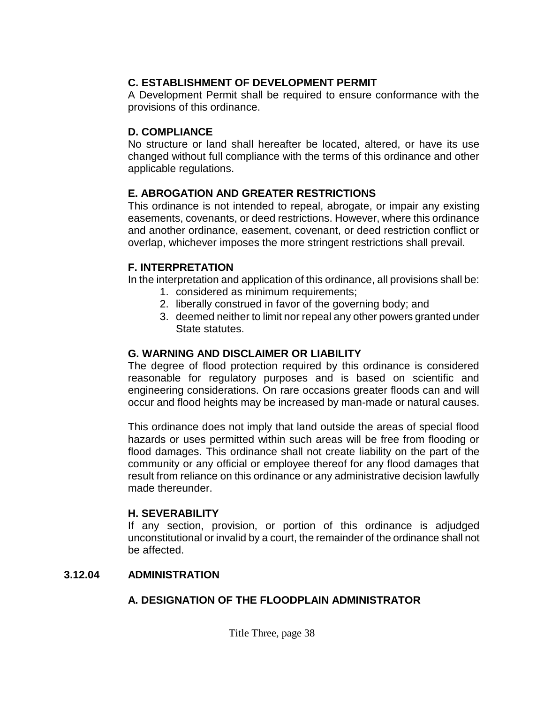### **C. ESTABLISHMENT OF DEVELOPMENT PERMIT**

A Development Permit shall be required to ensure conformance with the provisions of this ordinance.

#### **D. COMPLIANCE**

No structure or land shall hereafter be located, altered, or have its use changed without full compliance with the terms of this ordinance and other applicable regulations.

### **E. ABROGATION AND GREATER RESTRICTIONS**

This ordinance is not intended to repeal, abrogate, or impair any existing easements, covenants, or deed restrictions. However, where this ordinance and another ordinance, easement, covenant, or deed restriction conflict or overlap, whichever imposes the more stringent restrictions shall prevail.

### **F. INTERPRETATION**

In the interpretation and application of this ordinance, all provisions shall be:

- 1. considered as minimum requirements;
- 2. liberally construed in favor of the governing body; and
- 3. deemed neither to limit nor repeal any other powers granted under State statutes.

### **G. WARNING AND DISCLAIMER OR LIABILITY**

The degree of flood protection required by this ordinance is considered reasonable for regulatory purposes and is based on scientific and engineering considerations. On rare occasions greater floods can and will occur and flood heights may be increased by man-made or natural causes.

This ordinance does not imply that land outside the areas of special flood hazards or uses permitted within such areas will be free from flooding or flood damages. This ordinance shall not create liability on the part of the community or any official or employee thereof for any flood damages that result from reliance on this ordinance or any administrative decision lawfully made thereunder.

### **H. SEVERABILITY**

If any section, provision, or portion of this ordinance is adjudged unconstitutional or invalid by a court, the remainder of the ordinance shall not be affected.

### **3.12.04 ADMINISTRATION**

## **A. DESIGNATION OF THE FLOODPLAIN ADMINISTRATOR**

Title Three, page 38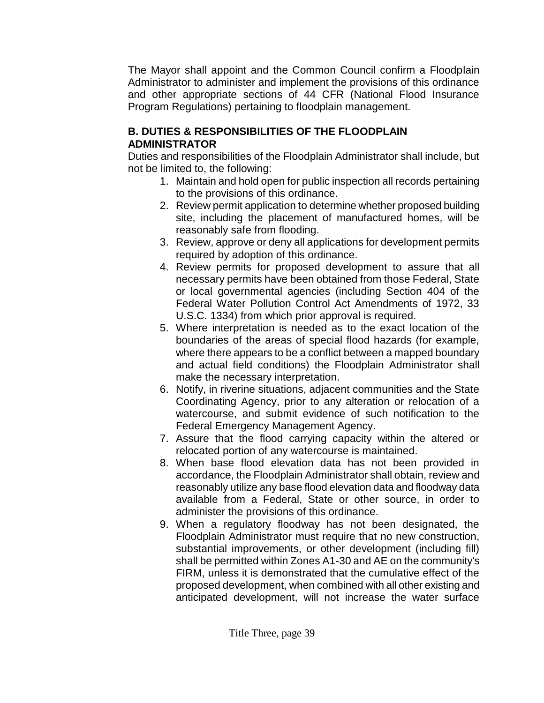The Mayor shall appoint and the Common Council confirm a Floodplain Administrator to administer and implement the provisions of this ordinance and other appropriate sections of 44 CFR (National Flood Insurance Program Regulations) pertaining to floodplain management.

### **B. DUTIES & RESPONSIBILITIES OF THE FLOODPLAIN ADMINISTRATOR**

Duties and responsibilities of the Floodplain Administrator shall include, but not be limited to, the following:

- 1. Maintain and hold open for public inspection all records pertaining to the provisions of this ordinance.
- 2. Review permit application to determine whether proposed building site, including the placement of manufactured homes, will be reasonably safe from flooding.
- 3. Review, approve or deny all applications for development permits required by adoption of this ordinance.
- 4. Review permits for proposed development to assure that all necessary permits have been obtained from those Federal, State or local governmental agencies (including Section 404 of the Federal Water Pollution Control Act Amendments of 1972, 33 U.S.C. 1334) from which prior approval is required.
- 5. Where interpretation is needed as to the exact location of the boundaries of the areas of special flood hazards (for example, where there appears to be a conflict between a mapped boundary and actual field conditions) the Floodplain Administrator shall make the necessary interpretation.
- 6. Notify, in riverine situations, adjacent communities and the State Coordinating Agency, prior to any alteration or relocation of a watercourse, and submit evidence of such notification to the Federal Emergency Management Agency.
- 7. Assure that the flood carrying capacity within the altered or relocated portion of any watercourse is maintained.
- 8. When base flood elevation data has not been provided in accordance, the Floodplain Administrator shall obtain, review and reasonably utilize any base flood elevation data and floodway data available from a Federal, State or other source, in order to administer the provisions of this ordinance.
- 9. When a regulatory floodway has not been designated, the Floodplain Administrator must require that no new construction, substantial improvements, or other development (including fill) shall be permitted within Zones A1-30 and AE on the community's FIRM, unless it is demonstrated that the cumulative effect of the proposed development, when combined with all other existing and anticipated development, will not increase the water surface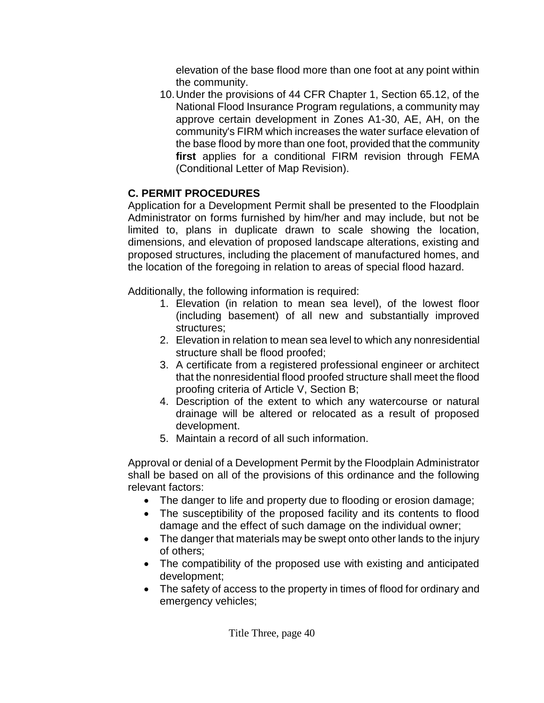elevation of the base flood more than one foot at any point within the community.

10.Under the provisions of 44 CFR Chapter 1, Section 65.12, of the National Flood Insurance Program regulations, a community may approve certain development in Zones A1-30, AE, AH, on the community's FIRM which increases the water surface elevation of the base flood by more than one foot, provided that the community **first** applies for a conditional FIRM revision through FEMA (Conditional Letter of Map Revision).

# **C. PERMIT PROCEDURES**

Application for a Development Permit shall be presented to the Floodplain Administrator on forms furnished by him/her and may include, but not be limited to, plans in duplicate drawn to scale showing the location, dimensions, and elevation of proposed landscape alterations, existing and proposed structures, including the placement of manufactured homes, and the location of the foregoing in relation to areas of special flood hazard.

Additionally, the following information is required:

- 1. Elevation (in relation to mean sea level), of the lowest floor (including basement) of all new and substantially improved structures;
- 2. Elevation in relation to mean sea level to which any nonresidential structure shall be flood proofed;
- 3. A certificate from a registered professional engineer or architect that the nonresidential flood proofed structure shall meet the flood proofing criteria of Article V, Section B;
- 4. Description of the extent to which any watercourse or natural drainage will be altered or relocated as a result of proposed development.
- 5. Maintain a record of all such information.

Approval or denial of a Development Permit by the Floodplain Administrator shall be based on all of the provisions of this ordinance and the following relevant factors:

- The danger to life and property due to flooding or erosion damage;
- The susceptibility of the proposed facility and its contents to flood damage and the effect of such damage on the individual owner;
- The danger that materials may be swept onto other lands to the injury of others;
- The compatibility of the proposed use with existing and anticipated development;
- The safety of access to the property in times of flood for ordinary and emergency vehicles;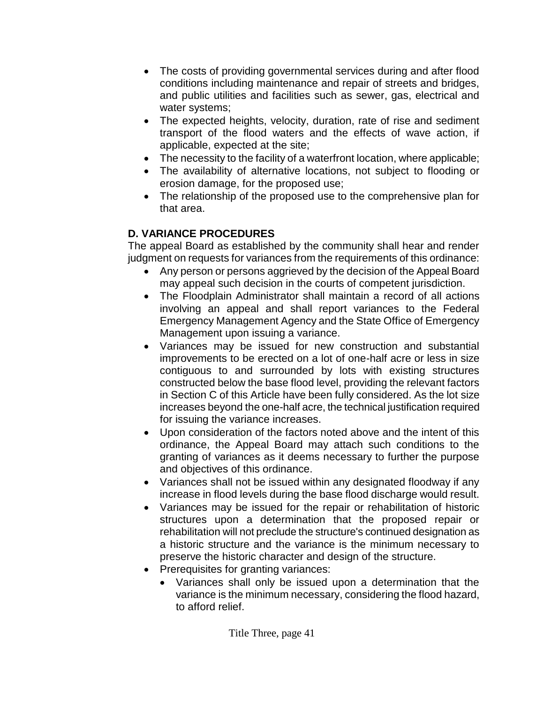- The costs of providing governmental services during and after flood conditions including maintenance and repair of streets and bridges, and public utilities and facilities such as sewer, gas, electrical and water systems;
- The expected heights, velocity, duration, rate of rise and sediment transport of the flood waters and the effects of wave action, if applicable, expected at the site;
- The necessity to the facility of a waterfront location, where applicable;
- The availability of alternative locations, not subject to flooding or erosion damage, for the proposed use;
- The relationship of the proposed use to the comprehensive plan for that area.

# **D. VARIANCE PROCEDURES**

The appeal Board as established by the community shall hear and render judgment on requests for variances from the requirements of this ordinance:

- Any person or persons aggrieved by the decision of the Appeal Board may appeal such decision in the courts of competent jurisdiction.
- The Floodplain Administrator shall maintain a record of all actions involving an appeal and shall report variances to the Federal Emergency Management Agency and the State Office of Emergency Management upon issuing a variance.
- Variances may be issued for new construction and substantial improvements to be erected on a lot of one-half acre or less in size contiguous to and surrounded by lots with existing structures constructed below the base flood level, providing the relevant factors in Section C of this Article have been fully considered. As the lot size increases beyond the one-half acre, the technical justification required for issuing the variance increases.
- Upon consideration of the factors noted above and the intent of this ordinance, the Appeal Board may attach such conditions to the granting of variances as it deems necessary to further the purpose and objectives of this ordinance.
- Variances shall not be issued within any designated floodway if any increase in flood levels during the base flood discharge would result.
- Variances may be issued for the repair or rehabilitation of historic structures upon a determination that the proposed repair or rehabilitation will not preclude the structure's continued designation as a historic structure and the variance is the minimum necessary to preserve the historic character and design of the structure.
- Prerequisites for granting variances:
	- Variances shall only be issued upon a determination that the variance is the minimum necessary, considering the flood hazard, to afford relief.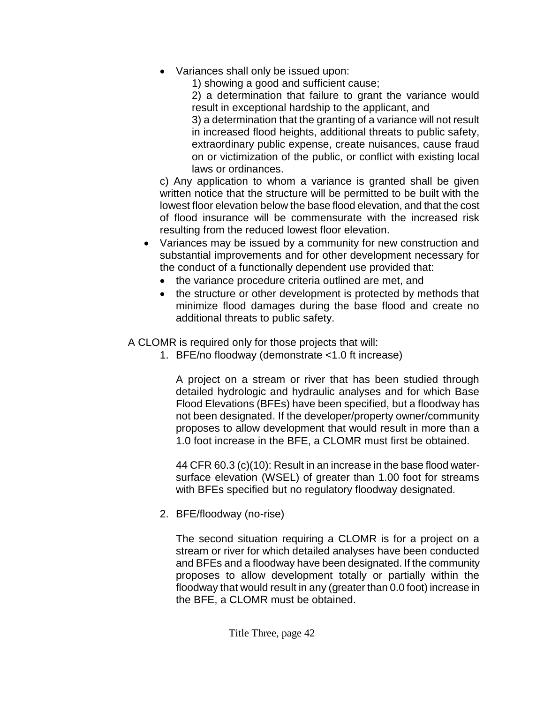Variances shall only be issued upon:

1) showing a good and sufficient cause;

2) a determination that failure to grant the variance would result in exceptional hardship to the applicant, and

3) a determination that the granting of a variance will not result in increased flood heights, additional threats to public safety, extraordinary public expense, create nuisances, cause fraud on or victimization of the public, or conflict with existing local laws or ordinances.

c) Any application to whom a variance is granted shall be given written notice that the structure will be permitted to be built with the lowest floor elevation below the base flood elevation, and that the cost of flood insurance will be commensurate with the increased risk resulting from the reduced lowest floor elevation.

- Variances may be issued by a community for new construction and substantial improvements and for other development necessary for the conduct of a functionally dependent use provided that:
	- the variance procedure criteria outlined are met, and
	- the structure or other development is protected by methods that minimize flood damages during the base flood and create no additional threats to public safety.

A CLOMR is required only for those projects that will:

1. BFE/no floodway (demonstrate <1.0 ft increase)

A project on a stream or river that has been studied through detailed hydrologic and hydraulic analyses and for which Base Flood Elevations (BFEs) have been specified, but a floodway has not been designated. If the developer/property owner/community proposes to allow development that would result in more than a 1.0 foot increase in the BFE, a CLOMR must first be obtained.

44 CFR 60.3 (c)(10): Result in an increase in the base flood watersurface elevation (WSEL) of greater than 1.00 foot for streams with BFEs specified but no regulatory floodway designated.

2. BFE/floodway (no-rise)

The second situation requiring a CLOMR is for a project on a stream or river for which detailed analyses have been conducted and BFEs and a floodway have been designated. If the community proposes to allow development totally or partially within the floodway that would result in any (greater than 0.0 foot) increase in the BFE, a CLOMR must be obtained.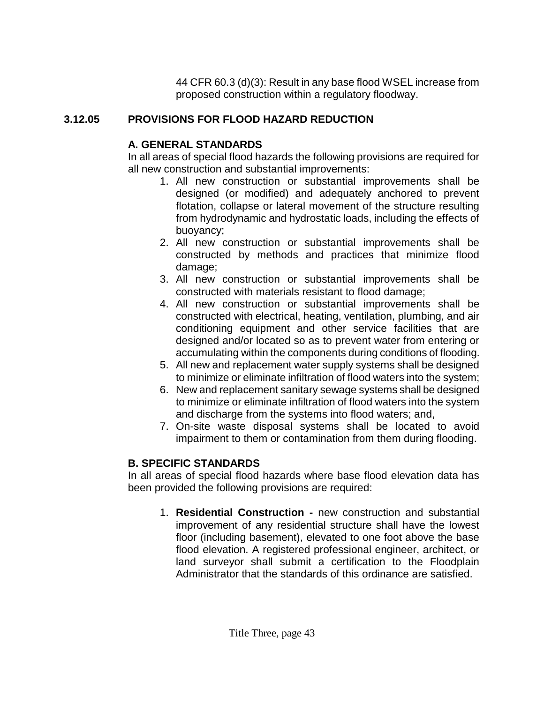44 CFR 60.3 (d)(3): Result in any base flood WSEL increase from proposed construction within a regulatory floodway.

# **3.12.05 PROVISIONS FOR FLOOD HAZARD REDUCTION**

# **A. GENERAL STANDARDS**

In all areas of special flood hazards the following provisions are required for all new construction and substantial improvements:

- 1. All new construction or substantial improvements shall be designed (or modified) and adequately anchored to prevent flotation, collapse or lateral movement of the structure resulting from hydrodynamic and hydrostatic loads, including the effects of buoyancy;
- 2. All new construction or substantial improvements shall be constructed by methods and practices that minimize flood damage;
- 3. All new construction or substantial improvements shall be constructed with materials resistant to flood damage;
- 4. All new construction or substantial improvements shall be constructed with electrical, heating, ventilation, plumbing, and air conditioning equipment and other service facilities that are designed and/or located so as to prevent water from entering or accumulating within the components during conditions of flooding.
- 5. All new and replacement water supply systems shall be designed to minimize or eliminate infiltration of flood waters into the system;
- 6. New and replacement sanitary sewage systems shall be designed to minimize or eliminate infiltration of flood waters into the system and discharge from the systems into flood waters; and,
- 7. On-site waste disposal systems shall be located to avoid impairment to them or contamination from them during flooding.

# **B. SPECIFIC STANDARDS**

In all areas of special flood hazards where base flood elevation data has been provided the following provisions are required:

1. **Residential Construction -** new construction and substantial improvement of any residential structure shall have the lowest floor (including basement), elevated to one foot above the base flood elevation. A registered professional engineer, architect, or land surveyor shall submit a certification to the Floodplain Administrator that the standards of this ordinance are satisfied.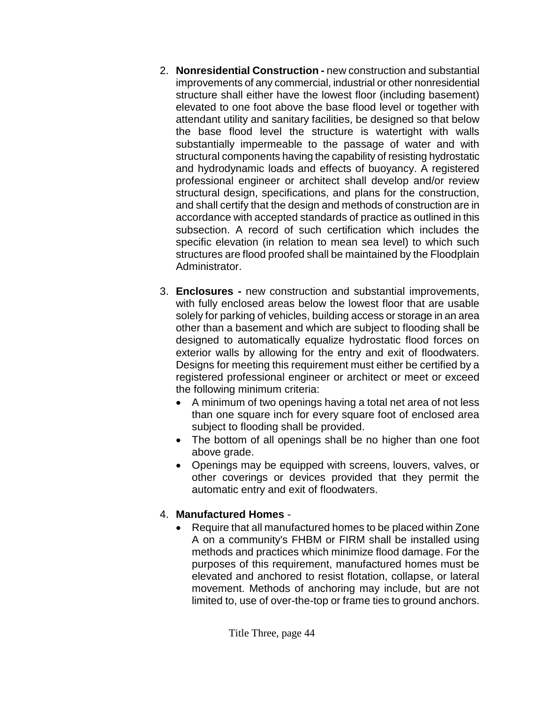- 2. **Nonresidential Construction -** new construction and substantial improvements of any commercial, industrial or other nonresidential structure shall either have the lowest floor (including basement) elevated to one foot above the base flood level or together with attendant utility and sanitary facilities, be designed so that below the base flood level the structure is watertight with walls substantially impermeable to the passage of water and with structural components having the capability of resisting hydrostatic and hydrodynamic loads and effects of buoyancy. A registered professional engineer or architect shall develop and/or review structural design, specifications, and plans for the construction, and shall certify that the design and methods of construction are in accordance with accepted standards of practice as outlined in this subsection. A record of such certification which includes the specific elevation (in relation to mean sea level) to which such structures are flood proofed shall be maintained by the Floodplain Administrator.
- 3. **Enclosures -** new construction and substantial improvements, with fully enclosed areas below the lowest floor that are usable solely for parking of vehicles, building access or storage in an area other than a basement and which are subject to flooding shall be designed to automatically equalize hydrostatic flood forces on exterior walls by allowing for the entry and exit of floodwaters. Designs for meeting this requirement must either be certified by a registered professional engineer or architect or meet or exceed the following minimum criteria:
	- A minimum of two openings having a total net area of not less than one square inch for every square foot of enclosed area subject to flooding shall be provided.
	- The bottom of all openings shall be no higher than one foot above grade.
	- Openings may be equipped with screens, louvers, valves, or other coverings or devices provided that they permit the automatic entry and exit of floodwaters.

### 4. **Manufactured Homes** -

 Require that all manufactured homes to be placed within Zone A on a community's FHBM or FIRM shall be installed using methods and practices which minimize flood damage. For the purposes of this requirement, manufactured homes must be elevated and anchored to resist flotation, collapse, or lateral movement. Methods of anchoring may include, but are not limited to, use of over-the-top or frame ties to ground anchors.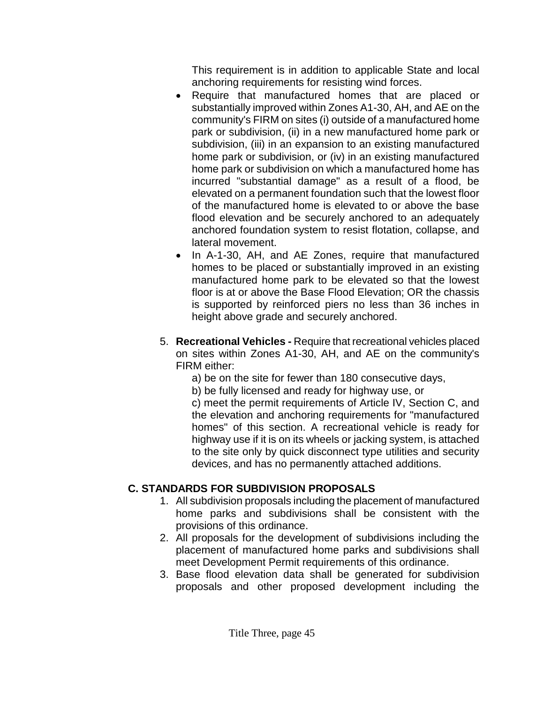This requirement is in addition to applicable State and local anchoring requirements for resisting wind forces.

- Require that manufactured homes that are placed or substantially improved within Zones A1-30, AH, and AE on the community's FIRM on sites (i) outside of a manufactured home park or subdivision, (ii) in a new manufactured home park or subdivision, (iii) in an expansion to an existing manufactured home park or subdivision, or (iv) in an existing manufactured home park or subdivision on which a manufactured home has incurred "substantial damage" as a result of a flood, be elevated on a permanent foundation such that the lowest floor of the manufactured home is elevated to or above the base flood elevation and be securely anchored to an adequately anchored foundation system to resist flotation, collapse, and lateral movement.
- In A-1-30, AH, and AE Zones, require that manufactured homes to be placed or substantially improved in an existing manufactured home park to be elevated so that the lowest floor is at or above the Base Flood Elevation; OR the chassis is supported by reinforced piers no less than 36 inches in height above grade and securely anchored.
- 5. **Recreational Vehicles -** Require that recreational vehicles placed on sites within Zones A1-30, AH, and AE on the community's FIRM either:
	- a) be on the site for fewer than 180 consecutive days,
	- b) be fully licensed and ready for highway use, or

c) meet the permit requirements of Article IV, Section C, and the elevation and anchoring requirements for "manufactured homes" of this section. A recreational vehicle is ready for highway use if it is on its wheels or jacking system, is attached to the site only by quick disconnect type utilities and security devices, and has no permanently attached additions.

# **C. STANDARDS FOR SUBDIVISION PROPOSALS**

- 1. All subdivision proposals including the placement of manufactured home parks and subdivisions shall be consistent with the provisions of this ordinance.
- 2. All proposals for the development of subdivisions including the placement of manufactured home parks and subdivisions shall meet Development Permit requirements of this ordinance.
- 3. Base flood elevation data shall be generated for subdivision proposals and other proposed development including the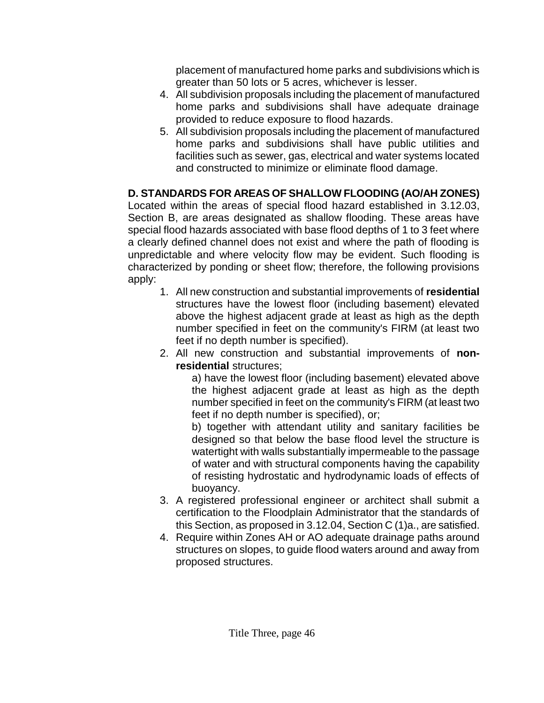placement of manufactured home parks and subdivisions which is greater than 50 lots or 5 acres, whichever is lesser.

- 4. All subdivision proposals including the placement of manufactured home parks and subdivisions shall have adequate drainage provided to reduce exposure to flood hazards.
- 5. All subdivision proposals including the placement of manufactured home parks and subdivisions shall have public utilities and facilities such as sewer, gas, electrical and water systems located and constructed to minimize or eliminate flood damage.

# **D. STANDARDS FOR AREAS OF SHALLOW FLOODING (AO/AH ZONES)**

Located within the areas of special flood hazard established in 3.12.03, Section B, are areas designated as shallow flooding. These areas have special flood hazards associated with base flood depths of 1 to 3 feet where a clearly defined channel does not exist and where the path of flooding is unpredictable and where velocity flow may be evident. Such flooding is characterized by ponding or sheet flow; therefore, the following provisions apply:

- 1. All new construction and substantial improvements of **residential**  structures have the lowest floor (including basement) elevated above the highest adjacent grade at least as high as the depth number specified in feet on the community's FIRM (at least two feet if no depth number is specified).
- 2. All new construction and substantial improvements of **nonresidential** structures;

a) have the lowest floor (including basement) elevated above the highest adjacent grade at least as high as the depth number specified in feet on the community's FIRM (at least two feet if no depth number is specified), or;

b) together with attendant utility and sanitary facilities be designed so that below the base flood level the structure is watertight with walls substantially impermeable to the passage of water and with structural components having the capability of resisting hydrostatic and hydrodynamic loads of effects of buoyancy.

- 3. A registered professional engineer or architect shall submit a certification to the Floodplain Administrator that the standards of this Section, as proposed in 3.12.04, Section C (1)a., are satisfied.
- 4. Require within Zones AH or AO adequate drainage paths around structures on slopes, to guide flood waters around and away from proposed structures.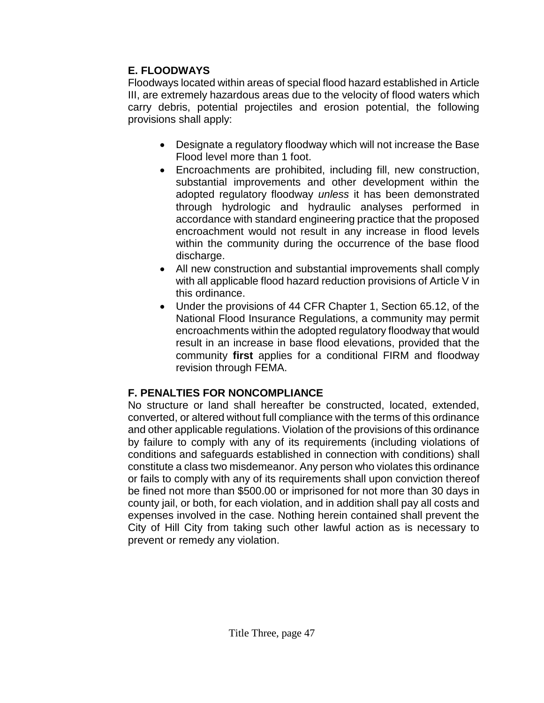### **E. FLOODWAYS**

Floodways located within areas of special flood hazard established in Article III, are extremely hazardous areas due to the velocity of flood waters which carry debris, potential projectiles and erosion potential, the following provisions shall apply:

- Designate a regulatory floodway which will not increase the Base Flood level more than 1 foot.
- Encroachments are prohibited, including fill, new construction, substantial improvements and other development within the adopted regulatory floodway *unless* it has been demonstrated through hydrologic and hydraulic analyses performed in accordance with standard engineering practice that the proposed encroachment would not result in any increase in flood levels within the community during the occurrence of the base flood discharge.
- All new construction and substantial improvements shall comply with all applicable flood hazard reduction provisions of Article V in this ordinance.
- Under the provisions of 44 CFR Chapter 1, Section 65.12, of the National Flood Insurance Regulations, a community may permit encroachments within the adopted regulatory floodway that would result in an increase in base flood elevations, provided that the community **first** applies for a conditional FIRM and floodway revision through FEMA.

## **F. PENALTIES FOR NONCOMPLIANCE**

No structure or land shall hereafter be constructed, located, extended, converted, or altered without full compliance with the terms of this ordinance and other applicable regulations. Violation of the provisions of this ordinance by failure to comply with any of its requirements (including violations of conditions and safeguards established in connection with conditions) shall constitute a class two misdemeanor. Any person who violates this ordinance or fails to comply with any of its requirements shall upon conviction thereof be fined not more than \$500.00 or imprisoned for not more than 30 days in county jail, or both, for each violation, and in addition shall pay all costs and expenses involved in the case. Nothing herein contained shall prevent the City of Hill City from taking such other lawful action as is necessary to prevent or remedy any violation.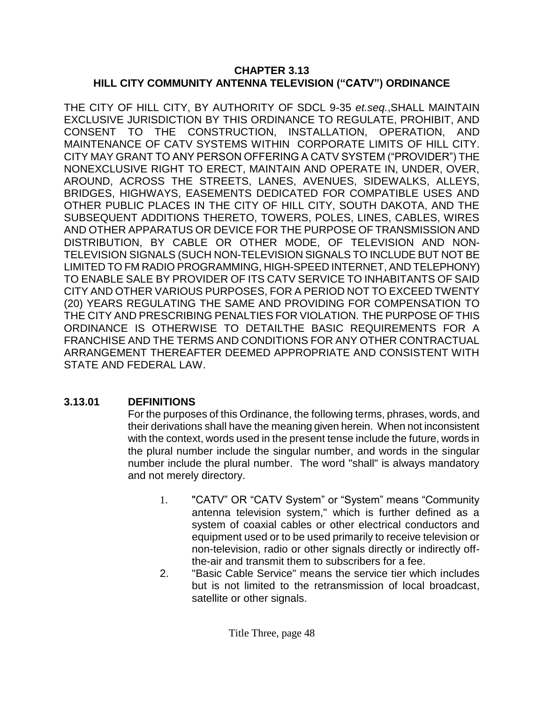#### **CHAPTER 3.13 HILL CITY COMMUNITY ANTENNA TELEVISION ("CATV") ORDINANCE**

THE CITY OF HILL CITY, BY AUTHORITY OF SDCL 9-35 *et.seq.*,SHALL MAINTAIN EXCLUSIVE JURISDICTION BY THIS ORDINANCE TO REGULATE, PROHIBIT, AND CONSENT TO THE CONSTRUCTION, INSTALLATION, OPERATION, AND MAINTENANCE OF CATV SYSTEMS WITHIN CORPORATE LIMITS OF HILL CITY. CITY MAY GRANT TO ANY PERSON OFFERING A CATV SYSTEM ("PROVIDER") THE NONEXCLUSIVE RIGHT TO ERECT, MAINTAIN AND OPERATE IN, UNDER, OVER, AROUND, ACROSS THE STREETS, LANES, AVENUES, SIDEWALKS, ALLEYS, BRIDGES, HIGHWAYS, EASEMENTS DEDICATED FOR COMPATIBLE USES AND OTHER PUBLIC PLACES IN THE CITY OF HILL CITY, SOUTH DAKOTA, AND THE SUBSEQUENT ADDITIONS THERETO, TOWERS, POLES, LINES, CABLES, WIRES AND OTHER APPARATUS OR DEVICE FOR THE PURPOSE OF TRANSMISSION AND DISTRIBUTION, BY CABLE OR OTHER MODE, OF TELEVISION AND NON-TELEVISION SIGNALS (SUCH NON-TELEVISION SIGNALS TO INCLUDE BUT NOT BE LIMITED TO FM RADIO PROGRAMMING, HIGH-SPEED INTERNET, AND TELEPHONY) TO ENABLE SALE BY PROVIDER OF ITS CATV SERVICE TO INHABITANTS OF SAID CITY AND OTHER VARIOUS PURPOSES, FOR A PERIOD NOT TO EXCEED TWENTY (20) YEARS REGULATING THE SAME AND PROVIDING FOR COMPENSATION TO THE CITY AND PRESCRIBING PENALTIES FOR VIOLATION. THE PURPOSE OF THIS ORDINANCE IS OTHERWISE TO DETAILTHE BASIC REQUIREMENTS FOR A FRANCHISE AND THE TERMS AND CONDITIONS FOR ANY OTHER CONTRACTUAL ARRANGEMENT THEREAFTER DEEMED APPROPRIATE AND CONSISTENT WITH STATE AND FEDERAL LAW.

## **3.13.01 DEFINITIONS**

For the purposes of this Ordinance, the following terms, phrases, words, and their derivations shall have the meaning given herein. When not inconsistent with the context, words used in the present tense include the future, words in the plural number include the singular number, and words in the singular number include the plural number. The word "shall" is always mandatory and not merely directory.

- 1. "CATV" OR "CATV System" or "System" means "Community antenna television system," which is further defined as a system of coaxial cables or other electrical conductors and equipment used or to be used primarily to receive television or non-television, radio or other signals directly or indirectly offthe-air and transmit them to subscribers for a fee.
- 2. "Basic Cable Service" means the service tier which includes but is not limited to the retransmission of local broadcast, satellite or other signals.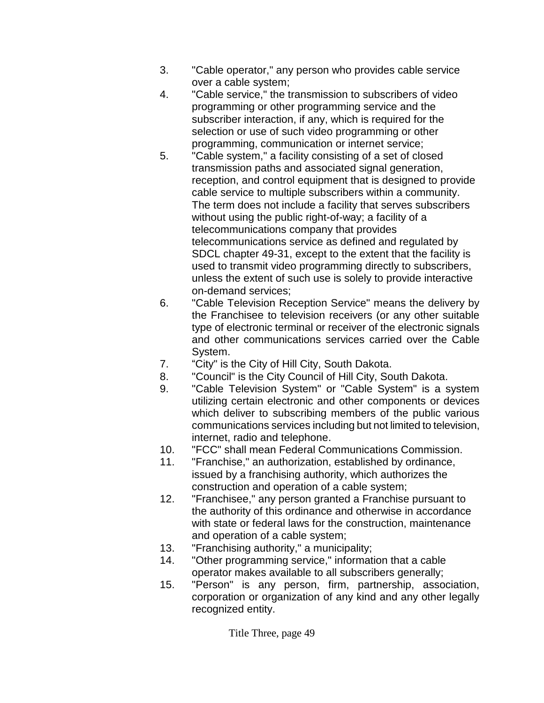- 3. "Cable operator," any person who provides cable service over a cable system;
- 4. "Cable service," the transmission to subscribers of video programming or other programming service and the subscriber interaction, if any, which is required for the selection or use of such video programming or other programming, communication or internet service;
- 5. "Cable system," a facility consisting of a set of closed transmission paths and associated signal generation, reception, and control equipment that is designed to provide cable service to multiple subscribers within a community. The term does not include a facility that serves subscribers without using the public right-of-way; a facility of a telecommunications company that provides telecommunications service as defined and regulated by SDCL chapter 49-31, except to the extent that the facility is used to transmit video programming directly to subscribers, unless the extent of such use is solely to provide interactive on-demand services;
- 6. "Cable Television Reception Service" means the delivery by the Franchisee to television receivers (or any other suitable type of electronic terminal or receiver of the electronic signals and other communications services carried over the Cable System.
- 7. "City" is the City of Hill City, South Dakota.
- 8. "Council" is the City Council of Hill City, South Dakota.
- 9. "Cable Television System" or "Cable System" is a system utilizing certain electronic and other components or devices which deliver to subscribing members of the public various communications services including but not limited to television, internet, radio and telephone.
- 10. "FCC" shall mean Federal Communications Commission.
- 11. "Franchise," an authorization, established by ordinance, issued by a franchising authority, which authorizes the construction and operation of a cable system;
- 12. "Franchisee," any person granted a Franchise pursuant to the authority of this ordinance and otherwise in accordance with state or federal laws for the construction, maintenance and operation of a cable system;
- 13. "Franchising authority," a municipality;
- 14. "Other programming service," information that a cable operator makes available to all subscribers generally;
- 15. "Person" is any person, firm, partnership, association, corporation or organization of any kind and any other legally recognized entity.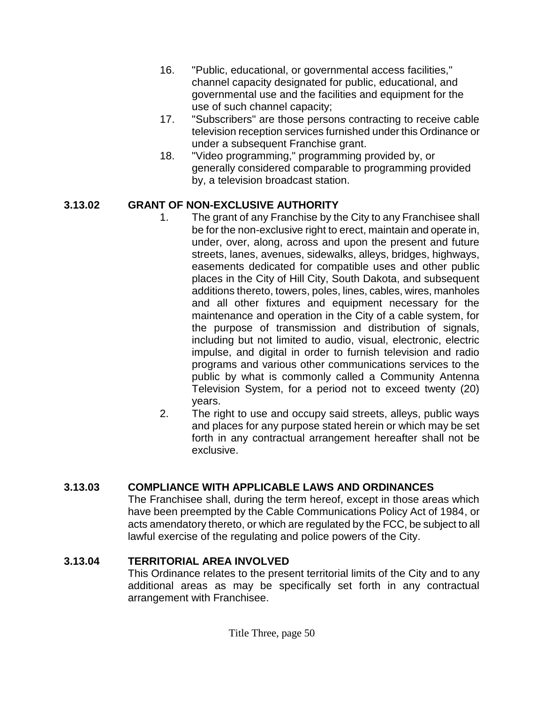- 16. "Public, educational, or governmental access facilities," channel capacity designated for public, educational, and governmental use and the facilities and equipment for the use of such channel capacity;
- 17. "Subscribers" are those persons contracting to receive cable television reception services furnished under this Ordinance or under a subsequent Franchise grant.
- 18. "Video programming," programming provided by, or generally considered comparable to programming provided by, a television broadcast station.

### **3.13.02 GRANT OF NON-EXCLUSIVE AUTHORITY**

- 1. The grant of any Franchise by the City to any Franchisee shall be for the non-exclusive right to erect, maintain and operate in, under, over, along, across and upon the present and future streets, lanes, avenues, sidewalks, alleys, bridges, highways, easements dedicated for compatible uses and other public places in the City of Hill City, South Dakota, and subsequent additions thereto, towers, poles, lines, cables, wires, manholes and all other fixtures and equipment necessary for the maintenance and operation in the City of a cable system, for the purpose of transmission and distribution of signals, including but not limited to audio, visual, electronic, electric impulse, and digital in order to furnish television and radio programs and various other communications services to the public by what is commonly called a Community Antenna Television System, for a period not to exceed twenty (20) years.
- 2. The right to use and occupy said streets, alleys, public ways and places for any purpose stated herein or which may be set forth in any contractual arrangement hereafter shall not be exclusive.

## **3.13.03 COMPLIANCE WITH APPLICABLE LAWS AND ORDINANCES**

The Franchisee shall, during the term hereof, except in those areas which have been preempted by the Cable Communications Policy Act of 1984, or acts amendatory thereto, or which are regulated by the FCC, be subject to all lawful exercise of the regulating and police powers of the City.

## **3.13.04 TERRITORIAL AREA INVOLVED**

This Ordinance relates to the present territorial limits of the City and to any additional areas as may be specifically set forth in any contractual arrangement with Franchisee.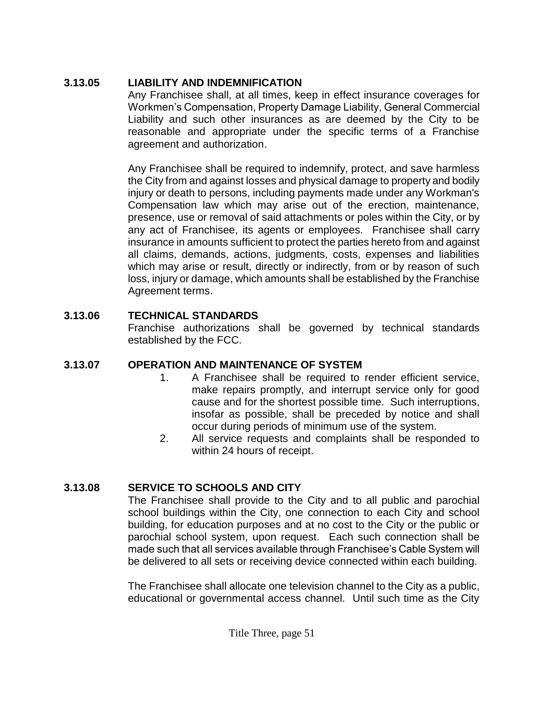### **3.13.05 LIABILITY AND INDEMNIFICATION**

Any Franchisee shall, at all times, keep in effect insurance coverages for Workmen's Compensation, Property Damage Liability, General Commercial Liability and such other insurances as are deemed by the City to be reasonable and appropriate under the specific terms of a Franchise agreement and authorization.

Any Franchisee shall be required to indemnify, protect, and save harmless the City from and against losses and physical damage to property and bodily injury or death to persons, including payments made under any Workman's Compensation law which may arise out of the erection, maintenance, presence, use or removal of said attachments or poles within the City, or by any act of Franchisee, its agents or employees. Franchisee shall carry insurance in amounts sufficient to protect the parties hereto from and against all claims, demands, actions, judgments, costs, expenses and liabilities which may arise or result, directly or indirectly, from or by reason of such loss, injury or damage, which amounts shall be established by the Franchise Agreement terms.

### **3.13.06 TECHNICAL STANDARDS**

Franchise authorizations shall be governed by technical standards established by the FCC.

## **3.13.07 OPERATION AND MAINTENANCE OF SYSTEM**

- 1. A Franchisee shall be required to render efficient service, make repairs promptly, and interrupt service only for good cause and for the shortest possible time. Such interruptions, insofar as possible, shall be preceded by notice and shall occur during periods of minimum use of the system.
- 2. All service requests and complaints shall be responded to within 24 hours of receipt.

## **3.13.08 SERVICE TO SCHOOLS AND CITY**

The Franchisee shall provide to the City and to all public and parochial school buildings within the City, one connection to each City and school building, for education purposes and at no cost to the City or the public or parochial school system, upon request. Each such connection shall be made such that all services available through Franchisee's Cable System will be delivered to all sets or receiving device connected within each building.

The Franchisee shall allocate one television channel to the City as a public, educational or governmental access channel. Until such time as the City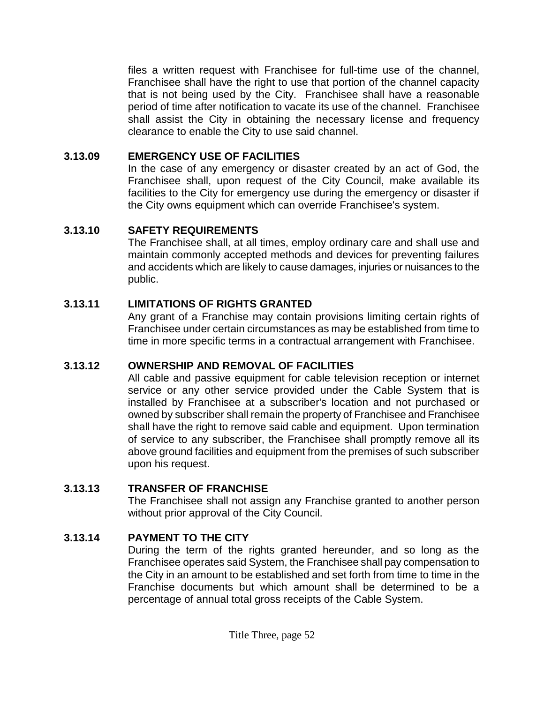files a written request with Franchisee for full-time use of the channel, Franchisee shall have the right to use that portion of the channel capacity that is not being used by the City. Franchisee shall have a reasonable period of time after notification to vacate its use of the channel. Franchisee shall assist the City in obtaining the necessary license and frequency clearance to enable the City to use said channel.

### **3.13.09 EMERGENCY USE OF FACILITIES**

In the case of any emergency or disaster created by an act of God, the Franchisee shall, upon request of the City Council, make available its facilities to the City for emergency use during the emergency or disaster if the City owns equipment which can override Franchisee's system.

## **3.13.10 SAFETY REQUIREMENTS**

The Franchisee shall, at all times, employ ordinary care and shall use and maintain commonly accepted methods and devices for preventing failures and accidents which are likely to cause damages, injuries or nuisances to the public.

## **3.13.11 LIMITATIONS OF RIGHTS GRANTED**

Any grant of a Franchise may contain provisions limiting certain rights of Franchisee under certain circumstances as may be established from time to time in more specific terms in a contractual arrangement with Franchisee.

## **3.13.12 OWNERSHIP AND REMOVAL OF FACILITIES**

All cable and passive equipment for cable television reception or internet service or any other service provided under the Cable System that is installed by Franchisee at a subscriber's location and not purchased or owned by subscriber shall remain the property of Franchisee and Franchisee shall have the right to remove said cable and equipment. Upon termination of service to any subscriber, the Franchisee shall promptly remove all its above ground facilities and equipment from the premises of such subscriber upon his request.

## **3.13.13 TRANSFER OF FRANCHISE**

The Franchisee shall not assign any Franchise granted to another person without prior approval of the City Council.

## **3.13.14 PAYMENT TO THE CITY**

During the term of the rights granted hereunder, and so long as the Franchisee operates said System, the Franchisee shall pay compensation to the City in an amount to be established and set forth from time to time in the Franchise documents but which amount shall be determined to be a percentage of annual total gross receipts of the Cable System.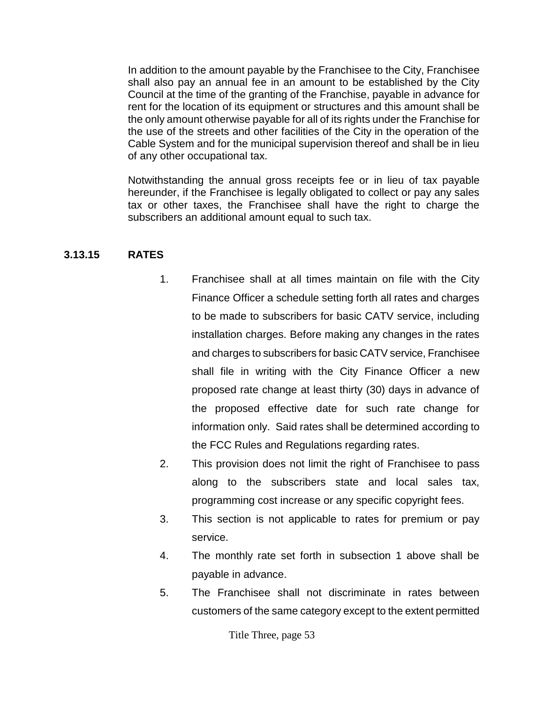In addition to the amount payable by the Franchisee to the City, Franchisee shall also pay an annual fee in an amount to be established by the City Council at the time of the granting of the Franchise, payable in advance for rent for the location of its equipment or structures and this amount shall be the only amount otherwise payable for all of its rights under the Franchise for the use of the streets and other facilities of the City in the operation of the Cable System and for the municipal supervision thereof and shall be in lieu of any other occupational tax.

Notwithstanding the annual gross receipts fee or in lieu of tax payable hereunder, if the Franchisee is legally obligated to collect or pay any sales tax or other taxes, the Franchisee shall have the right to charge the subscribers an additional amount equal to such tax.

#### **3.13.15 RATES**

- 1. Franchisee shall at all times maintain on file with the City Finance Officer a schedule setting forth all rates and charges to be made to subscribers for basic CATV service, including installation charges. Before making any changes in the rates and charges to subscribers for basic CATV service, Franchisee shall file in writing with the City Finance Officer a new proposed rate change at least thirty (30) days in advance of the proposed effective date for such rate change for information only. Said rates shall be determined according to the FCC Rules and Regulations regarding rates.
- 2. This provision does not limit the right of Franchisee to pass along to the subscribers state and local sales tax, programming cost increase or any specific copyright fees.
- 3. This section is not applicable to rates for premium or pay service.
- 4. The monthly rate set forth in subsection 1 above shall be payable in advance.
- 5. The Franchisee shall not discriminate in rates between customers of the same category except to the extent permitted

Title Three, page 53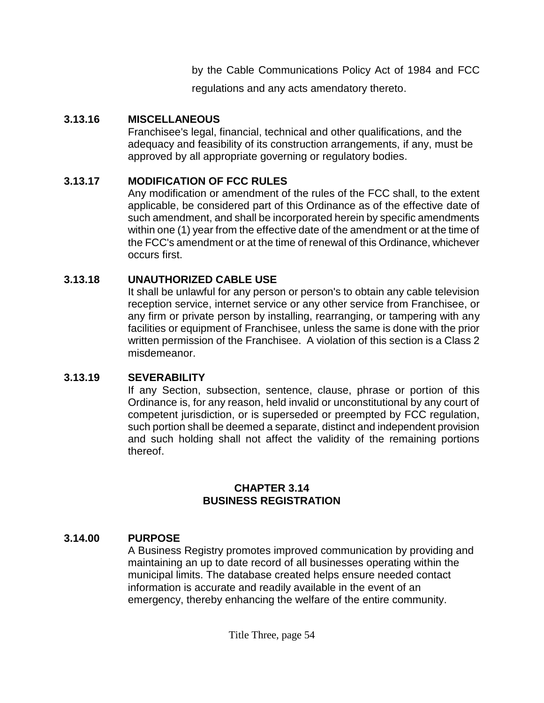by the Cable Communications Policy Act of 1984 and FCC

regulations and any acts amendatory thereto.

#### **3.13.16 MISCELLANEOUS**

Franchisee's legal, financial, technical and other qualifications, and the adequacy and feasibility of its construction arrangements, if any, must be approved by all appropriate governing or regulatory bodies.

### **3.13.17 MODIFICATION OF FCC RULES**

Any modification or amendment of the rules of the FCC shall, to the extent applicable, be considered part of this Ordinance as of the effective date of such amendment, and shall be incorporated herein by specific amendments within one (1) year from the effective date of the amendment or at the time of the FCC's amendment or at the time of renewal of this Ordinance, whichever occurs first.

### **3.13.18 UNAUTHORIZED CABLE USE**

It shall be unlawful for any person or person's to obtain any cable television reception service, internet service or any other service from Franchisee, or any firm or private person by installing, rearranging, or tampering with any facilities or equipment of Franchisee, unless the same is done with the prior written permission of the Franchisee. A violation of this section is a Class 2 misdemeanor.

### **3.13.19 SEVERABILITY**

If any Section, subsection, sentence, clause, phrase or portion of this Ordinance is, for any reason, held invalid or unconstitutional by any court of competent jurisdiction, or is superseded or preempted by FCC regulation, such portion shall be deemed a separate, distinct and independent provision and such holding shall not affect the validity of the remaining portions thereof.

#### **CHAPTER 3.14 BUSINESS REGISTRATION**

## **3.14.00 PURPOSE**

A Business Registry promotes improved communication by providing and maintaining an up to date record of all businesses operating within the municipal limits. The database created helps ensure needed contact information is accurate and readily available in the event of an emergency, thereby enhancing the welfare of the entire community.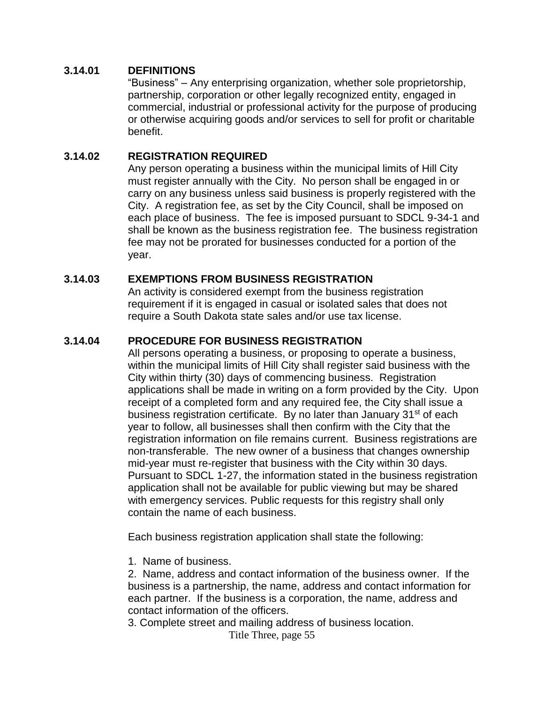#### **3.14.01 DEFINITIONS**

"Business" – Any enterprising organization, whether sole proprietorship, partnership, corporation or other legally recognized entity, engaged in commercial, industrial or professional activity for the purpose of producing or otherwise acquiring goods and/or services to sell for profit or charitable benefit.

#### **3.14.02 REGISTRATION REQUIRED**

Any person operating a business within the municipal limits of Hill City must register annually with the City. No person shall be engaged in or carry on any business unless said business is properly registered with the City. A registration fee, as set by the City Council, shall be imposed on each place of business. The fee is imposed pursuant to SDCL 9-34-1 and shall be known as the business registration fee. The business registration fee may not be prorated for businesses conducted for a portion of the year.

#### **3.14.03 EXEMPTIONS FROM BUSINESS REGISTRATION**

An activity is considered exempt from the business registration requirement if it is engaged in casual or isolated sales that does not require a South Dakota state sales and/or use tax license.

#### **3.14.04 PROCEDURE FOR BUSINESS REGISTRATION**

All persons operating a business, or proposing to operate a business, within the municipal limits of Hill City shall register said business with the City within thirty (30) days of commencing business. Registration applications shall be made in writing on a form provided by the City. Upon receipt of a completed form and any required fee, the City shall issue a business registration certificate. By no later than January 31<sup>st</sup> of each year to follow, all businesses shall then confirm with the City that the registration information on file remains current. Business registrations are non-transferable. The new owner of a business that changes ownership mid-year must re-register that business with the City within 30 days. Pursuant to SDCL 1-27, the information stated in the business registration application shall not be available for public viewing but may be shared with emergency services. Public requests for this registry shall only contain the name of each business.

Each business registration application shall state the following:

1. Name of business.

2. Name, address and contact information of the business owner. If the business is a partnership, the name, address and contact information for each partner. If the business is a corporation, the name, address and contact information of the officers.

3. Complete street and mailing address of business location.

Title Three, page 55